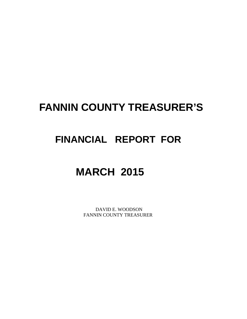# **FANNIN COUNTY TREASURER'S**

# **FINANCIAL REPORT FOR**

# **MARCH 2015**

 DAVID E. WOODSON FANNIN COUNTY TREASURER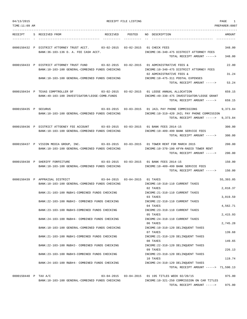| 04/13/2015<br>TIME:11:09 AM |                                                                                                                                          | RECEIPT FILE LISTING |                                                                                                   | PAGE<br>1<br>PREPARER: 0007 |
|-----------------------------|------------------------------------------------------------------------------------------------------------------------------------------|----------------------|---------------------------------------------------------------------------------------------------|-----------------------------|
|                             |                                                                                                                                          |                      |                                                                                                   |                             |
| RECEIPT                     | S RECEIVED FROM<br>RECEIVED                                                                                                              | POSTED               | NO DESCRIPTION                                                                                    | AMOUNT                      |
|                             | 0000150432 P DISTRICT ATTORNEY TRUST ACCT.<br>$03 - 02 - 2015$<br>BANK: 36-103-136 D. A. FEE CASH ACCT.                                  | $03 - 02 - 2015$     | 01 CHECK FEES<br>INCOME: 36-340-475 DISTRICT ATTORNEY FEES                                        | 348.00                      |
|                             |                                                                                                                                          |                      | TOTAL RECEIPT AMOUNT ----->                                                                       | 348.00                      |
|                             | 0000150433 P DISTRICT ATTORNEY TRUST FUND<br>03-02-2015  03-02-2015<br>BANK:10-103-100 GENERAL-COMBINED FUNDS CHECKING                   |                      | 01 ADMINISTRATIVE FEES &<br>INCOME:10-340-475 DISTRICT ATTORNEY FEES                              | 22.00                       |
|                             | BANK:10-103-100 GENERAL-COMBINED FUNDS CHECKING                                                                                          |                      | 02 ADMINISTRATIVE FEES &<br>INCOME:10-475-311 POSTAL EXPENSES                                     | 31.24                       |
|                             |                                                                                                                                          |                      | TOTAL RECEIPT AMOUNT ----->                                                                       | 53.24                       |
|                             | 0000150434 P TEXAS COMPTROLLER OF<br>03-02-2015<br>BANK: 49-103-100 INVESTIGATOR/LEOSE-COMB. FUNDS                                       |                      | 03-02-2015 01 LEOSE ANNUAL ALLOCATION<br>INCOME: 49-330-475 INVESTIGATOR/LEOSE GRANT              | 659.15                      |
|                             |                                                                                                                                          |                      | TOTAL RECEIPT AMOUNT ----->                                                                       | 659.15                      |
| 0000150435 P SECURUS        | $03 - 03 - 2015$ $03 - 03 - 2015$<br>BANK:10-103-100 GENERAL-COMBINED FUNDS CHECKING                                                     |                      | 01 JAIL PAY PHONE COMMISSIONS<br>INCOME:10-319-420 JAIL PAY PHONE COMMISSION                      | 9,373.84                    |
|                             |                                                                                                                                          |                      | TOTAL RECEIPT AMOUNT ----->                                                                       | 9,373.84                    |
|                             | 0000150436 P DISTRICT ATTOENEY FEE ACCOUNT 03-03-2015 03-03-2015 01 BANK FEES 2014-15<br>BANK:10-103-100 GENERAL-COMBINED FUNDS CHECKING |                      | INCOME:10-409-499 BANK SERVICE FEES                                                               | 300.00                      |
|                             |                                                                                                                                          |                      | TOTAL RECEIPT AMOUNT ----->                                                                       | 300.00                      |
|                             | 03-03-2015 03-03-2015<br>0000150437 P VISION MEDIA GROUP, INC.<br>BANK:10-103-100 GENERAL-COMBINED FUNDS CHECKING                        |                      | 01 TOWER RENT FOR MARCH 2015<br>INCOME:10-370-100 KFYN-RADIO TOWER RENT                           | 200.00                      |
|                             |                                                                                                                                          |                      | TOTAL RECEIPT AMOUNT ----->                                                                       | 200.00                      |
|                             | 0000150438 P SHERIFF FORFEITURE<br>BANK: 10-103-100 GENERAL-COMBINED FUNDS CHECKING                                                      |                      | 03-03-2015  03-03-2015  01 BANK FEES  2014-15<br>INCOME:10-409-499 BANK SERVICE FEES              | 150.00                      |
|                             |                                                                                                                                          |                      | TOTAL RECEIPT AMOUNT ----->                                                                       | 150.00                      |
|                             | 0000150439 P APPRAISAL DISTRICT<br>$03 - 04 - 2015$ $03 - 04 - 2015$<br>BANK:10-103-100 GENERAL-COMBINED FUNDS CHECKING                  |                      | 01 TAXES<br>INCOME:10-310-110 CURRENT TAXES                                                       | 55,393.05                   |
|                             |                                                                                                                                          |                      | 02 TAXES                                                                                          | 2,818.37                    |
|                             | BANK: 21-103-100 R&B#1-COMBINED FUNDS CHECKING                                                                                           |                      | INCOME: 21-310-110 CURRENT TAXES<br>03 TAXES                                                      | 3,019.59                    |
|                             | BANK: 22-103-100 R&B#2- COMBINED FUNDS CHECKING                                                                                          |                      | INCOME: 22-310-110 CURRENT TAXES<br>04 TAXES                                                      | 4,562.71                    |
|                             | BANK:23-103-100 R&B#3-COMBINED FUNDS CHECKING                                                                                            |                      | INCOME: 23-310-110 CURRENT TAXES<br>05 TAXES                                                      | 2,415.93                    |
|                             | BANK: 24-103-100 R&B#4- COMBINED FUNDS CHECKING                                                                                          |                      | INCOME: 24-310-110 CURRENT TAXES<br>06 TAXES                                                      | 2,745.28                    |
|                             | BANK:10-103-100 GENERAL-COMBINED FUNDS CHECKING                                                                                          |                      | INCOME:10-310-120 DELINQUENT TAXES<br>07 TAXES                                                    | 139.68                      |
|                             | BANK: 21-103-100 R&B#1-COMBINED FUNDS CHECKING                                                                                           |                      | INCOME: 21-310-120 DELINQUENT TAXES<br>08 TAXES                                                   | 149.65                      |
|                             | BANK:22-103-100 R&B#2- COMBINED FUNDS CHECKING                                                                                           |                      | INCOME: 22-310-120 DELINQUENT TAXES<br>09 TAXES                                                   | 226.13                      |
|                             | BANK: 23-103-100 R&B#3-COMBINED FUNDS CHECKING                                                                                           |                      | INCOME: 23-310-120 DELINQUENT TAXES<br>10 TAXES                                                   | 119.74                      |
|                             | BANK: 24-103-100 R&B#4- COMBINED FUNDS CHECKING                                                                                          |                      | INCOME: 24-310-120 DELINQUENT TAXES                                                               |                             |
|                             |                                                                                                                                          |                      | TOTAL RECEIPT AMOUNT -----> 71,590.13                                                             |                             |
| 0000150440 P TAX A/C        | BANK:10-103-100 GENERAL-COMBINED FUNDS CHECKING                                                                                          |                      | 03-04-2015  03-04-2015  01 195 TITLES WEEK 02/20/15<br>INCOME:10-321-250 COMMISSION ON CAR TITLES | 975.00                      |
|                             |                                                                                                                                          |                      | TOTAL RECEIPT AMOUNT ----->                                                                       | 975.00                      |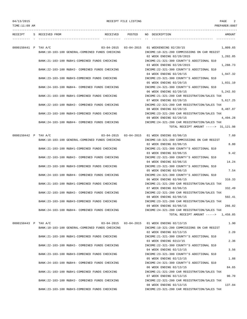--------------------------------------------------------------------------------------------------------------------------------- RECEIPT S RECEIVED FROM THE RECEIVED POSTED NO DESCRIPTION THE RECEIVED AMOUNT

---------- - ----------------------------------- ---------- ---------- -- ----------------------------------- ----------- 0000150441 P TAX A/C 03-04-2015 03-04-2015 01 WEEKENDING 02/20/15 1,809.65 BANK:10-103-100 GENERAL-COMBINED FUNDS CHECKING INCOME:10-321-200 COMMISSIONS ON CAR REGIST 02 WEEK ENDING 02/20/2015 1,202.85 BANK:21-103-100 R&B#1-COMBINED FUNDS CHECKING INCOME:21-321-300 COUNTY'S ADDITIONAL \$10 03 WEEK ENDING 02/20/2015 1,288.73 BANK:22-103-100 R&B#2- COMBINED FUNDS CHECKING INCOME:22-321-300 COUNTY'S ADDITIONAL \$10 04 WEEK ENDING 02/20/15 1,947.32 BANK:23-103-100 R&B#3-COMBINED FUNDS CHECKING INCOME:23-321-300 COUNTY'S ADDITIONAL \$10 05 WEEK ENDING 02/20/15 1,031.10 BANK:24-103-100 R&B#4- COMBINED FUNDS CHECKING INCOME:24-321-300 COUNTY'S ADDITIONAL \$10 06 WEEK ENDING 02/20/15 5,242.93 BANK:21-103-100 R&B#1-COMBINED FUNDS CHECKING INCOME:21-321-200 CAR REGISTRATION/SALES TAX 07 WEEK ENDING 02/20/15 5,617,25 BANK:22-103-100 R&B#2- COMBINED FUNDS CHECKING INCOME:22-321-200 CAR REGISTRATION/SALES TAX 08 WEEK ENDING 02/20/15 8,487.87 BANK:23-103-100 R&B#3-COMBINED FUNDS CHECKING INCOME:23-321-200 CAR REGISTRATION/SALES TAX 09 WEEK ENDING 02/20/15 4,494.28 BANK:24-103-100 R&B#4- COMBINED FUNDS CHECKING INCOME:24-321-200 CAR REGISTRATION/SALES TAX TOTAL RECEIPT AMOUNT -----> 31,121.98 0000150442 P TAX A/C 03-04-2015 03-04-2015 01 WEEK ENDING 02/06/15 7.60 BANK:10-103-100 GENERAL-COMBINED FUNDS CHECKING INCOME:10-321-200 COMMISSIONS ON CAR REGIST 02 WEEK ENDING 02/06/15 8.80 BANK:21-103-100 R&B#1-COMBINED FUNDS CHECKING INCOME:21-321-300 COUNTY'S ADDITIONAL \$10 03 WEEK ENDING 02/06/15 9.42 BANK:22-103-100 R&B#2- COMBINED FUNDS CHECKING INCOME:22-321-300 COUNTY'S ADDITIONAL \$10 04 WEEK ENDING 02/06/15 14.24 BANK:23-103-100 R&B#3-COMBINED FUNDS CHECKING INCOME:23-321-300 COUNTY'S ADDITIONAL \$10 05 WEEK ENDING 02/06/15 7.54 BANK:24-103-100 R&B#4- COMBINED FUNDS CHECKING INCOME:24-321-300 COUNTY'S ADDITIONAL \$10 06 WEEK ENDING 02/06/15 310.33 BANK:21-103-100 R&B#1-COMBINED FUNDS CHECKING INCOME:21-321-200 CAR REGISTRATION/SALES TAX 07 WEEK ENDING 02/06/15 332.49 BANK:22-103-100 R&B#2- COMBINED FUNDS CHECKING INCOME:22-321-200 CAR REGISTRATION/SALES TAX 08 WEEK ENDING 02/06/15 502.41 BANK:23-103-100 R&B#3-COMBINED FUNDS CHECKING INCOME:23-321-200 CAR REGISTRATION/SALES TAX 09 WEEK ENDING 02/06/15 266.02 BANK:24-103-100 R&B#4- COMBINED FUNDS CHECKING INCOME:24-321-200 CAR REGISTRATION/SALES TAX TOTAL RECEIPT AMOUNT -----> 1,458.85 0000150443 P TAX A/C 03-04-2015 03-04-2015 01 WEEK ENDING 02/13/15 1.90 BANK:10-103-100 GENERAL-COMBINED FUNDS CHECKING INCOME:10-321-200 COMMISSIONS ON CAR REGIST 02 WEEK ENDING 02/13/15 2.20 BANK:21-103-100 R&B#1-COMBINED FUNDS CHECKING INCOME:21-321-300 COUNTY'S ADDITIONAL \$10 03 WEEK ENDING 0213/15 2.36 BANK:22-103-100 R&B#2- COMBINED FUNDS CHECKING INCOME:22-321-300 COUNTY'S ADDITIONAL \$10 04 WEEK ENDING 02/13/15 3.56 BANK:23-103-100 R&B#3-COMBINED FUNDS CHECKING INCOME:23-321-300 COUNTY'S ADDITIONAL \$10 05 WEEK ENDING 02/13/15 1.88 BANK:24-103-100 R&B#4- COMBINED FUNDS CHECKING INCOME:24-321-300 COUNTY'S ADDITIONAL \$10 06 WEEK ENDING 02/13/15 84.65 BANK:21-103-100 R&B#1-COMBINED FUNDS CHECKING INCOME:21-321-200 CAR REGISTRATION/SALES TAX 07 WEEK ENDING 02/13/15 90.70 BANK:22-103-100 R&B#2- COMBINED FUNDS CHECKING INCOME:22-321-200 CAR REGISTRATION/SALES TAX 08 WEEK ENDING 02/13/15 137.04 BANK:23-103-100 R&B#3-COMBINED FUNDS CHECKING INCOME:23-321-200 CAR REGISTRATION/SALES TAX

TIME:11:09 AM PREPARER:0007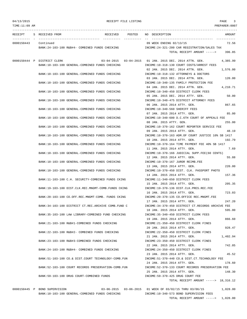TIME:11:09 AM PREPARER:0007 --------------------------------------------------------------------------------------------------------------------------------- RECEIPT S RECEIVED FROM THE RECEIVED POSTED NO DESCRIPTION THE RECEIVED AMOUNT ---------- - ----------------------------------- ---------- ---------- -- ----------------------------------- ----------- 0000150443 Continued 09 WEEK ENDING 02/13/15 72.56 BANK:24-103-100 R&B#4- COMBINED FUNDS CHECKING INCOME:24-321-200 CAR REGISTRATION/SALES TAX TOTAL RECEIPT AMOUNT -----> 396.85 0000150444 P DISTRICT CLERK 03-04-2015 03-04-2015 01 JAN. 2015 DEC. 2014 ATTN. GEN. 4,385.99 BANK:10-103-100 GENERAL-COMBINED FUNDS CHECKING INCOME:10-318-130 COURT COSTS/ARREST FEES 02 JAN. 2015 DEC. 2014 ATTN. GEN. 1.576.00 BANK:10-103-100 GENERAL-COMBINED FUNDS CHECKING INCOME:10-318-132 ATTORNEYS & DOCTORS 03 JAN. 2015 DEC. 2014 ATTN. GEN. 120.00 BANK:10-103-100 GENERAL-COMBINED FUNDS CHECKING INCOME:10-340-135 FAMILY PROTECTION FEE 04 JAN. 2015 DEC. 2014 ATTN. GEN. 4,210.71 BANK:10-103-100 GENERAL-COMBINED FUNDS CHECKING INCOME:10-340-450 DISTRICT CLERK FEES 05 JAN. 2015 DEC. 2014 ATTY. GEN. 50.00 BANK:10-103-100 GENERAL-COMBINED FUNDS CHECKING INCOME:10-340-475 DISTRICT ATTORNEY FEES 06 JAN. 2015 2014 ATTY. GEN. 867.65 BANK:10-103-100 GENERAL-COMBINED FUNDS CHECKING INCOME:10-340-560 SHERIFF FEES 07 JAN. 2015 2014 ATTY. GEN. 85.00 BANK:10-103-100 GENERAL-COMBINED FUNDS CHECKING INCOME:10-340-600 D.C.6TH COURT OF APPEALS FEE 08 JAN. 2015 ATTY. GEN. 255.00 BANK:10-103-100 GENERAL-COMBINED FUNDS CHECKING INCOME:10-370-162 COURT REPORTER SERVICE FEE 09 JAN. 2015 2014 ATTY. GEN. 48.19 BANK:10-103-100 GENERAL-COMBINED FUNDS CHECKING INCOME:10-370-163 ADM.OF COURT JUSTICE 10% SB 1417 10 JAN. 2015 2014 ATTY. GEN. 192.79 BANK:10-103-100 GENERAL-COMBINED FUNDS CHECKING INCOME:10-370-164 TIME PAYMENT FEE 40% SB 1417 11 JAN. 2015 2014 ATTY. GEN. 7.69 BANK:10-103-100 GENERAL-COMBINED FUNDS CHECKING INCOME:10-370-166 JUDICIAL SUPP.FEE(60 CENTS) 12 JAN. 2015 2014 ATTY. GEN. 55.88 BANK:10-103-100 GENERAL-COMBINED FUNDS CHECKING INCOME:10-370-167 JUROR REIMB.FEE 13 JAN, 2015 2014 ATTY. GEN. 220.00 BANK:10-103-100 GENERAL-COMBINED FUNDS CHECKING INCOME:10-370-450 DIST. CLK. PASSPORT PHOTO 14 JAN. 2015 2014 ATTY. GEN. 157.36 BANK:11-103-100 C.H. SECURITY-COMBINED FUNDS CKING INCOME:11-340-650 DISTRICT CLERK FEES 15 JAN. 2015 2014 ATTY. GEN. 205.35 BANK:19-103-100 DIST.CLK.REC.MNGMT-COMB.FUNDS CKING INCOME:19-370-136 DIST.CLK.PRES.REC.FEE 16 JAN. 2015 2014 ATTY. GEN. 723.03 BANK:20-103-100 CO.OFF.REC.MNGMT-COMB. FUNDS CKING INCOME:20-370-135 CO.OFFICE REC.MNGMT.FEE 17 JAN. 2015 2014 ATTY. GEN. 247.20 BANK:34-103-100 DISTRICT CT.REC.ARCHIVE COMB.FUND C INCOME:34-370-450 DISTRICT CT.RECORDS ARCHIVE FEE 18 JAN. 2015 2014 ATTY. GEN. 595.00 BANK:35-103-100 LAW LIBRARY-COMBINED FUND CHECKING INCOME:35-340-450 DISTRICT CLERK FEES 19 JAN. 2015 2014 ATTY. GEN. 866.60 BANK:21-103-100 R&B#1-COMBINED FUNDS CHECKING INCOME:21-350-450 DISTRICT CLERK FINES 20 JAN. 2015 2014 ATTY. GEN. 928.47 BANK:22-103-100 R&B#2- COMBINED FUNDS CHECKING INCOME:22-350-450 DISTRICT CLERK FINES 21 JAN. 2015 2014 ATTY. GEN. 1,402.94 BANK:23-103-100 R&B#3-COMBINED FUNDS CHECKING INCOME:23-350-450 DISTRICT CLERK FINES 22 JAN. 2015 2014 ATTY. GEN. 742.85 BANK:24-103-100 R&B#4- COMBINED FUNDS CHECKING INCOME:24-350-450 DISTRICT CLERK FINES 23 JAN. 2015 2014 ATTY. GEN. 45.52 BANK:51-103-100 CO.& DIST.COURT TECHNOLOGY-COMB.FUN INCOME:51-370-440 CO.& DIST.CT.TECHNOLOGY FEE 24 JAN. 2015 2014 ATTY. GEN. 178.60 BANK:52-103-100 COURT RECORDS PRESERVATION-COMB.FUN INCOME:52-370-133 COURT RECORDS PRESERVATION FEE 25 JAN. 2015 2014 ATTY. GEN. 148.30 BANK:59-103-100 DRUG COURT-COMBINED FUNDS INCOME:59-370-425 DRUG COURT FEE TOTAL RECEIPT AMOUNT -----> 18,316.12

0000150445 P BOND SUPERVISION 03-06-2015 03-06-2015 01 WEEK OF 03/02/15 THRU 03/06/15 1,028.00 BANK:10-103-100 GENERAL-COMBINED FUNDS CHECKING INCOME:10-340-573 BOND SUPERVISION FEES TOTAL RECEIPT AMOUNT -----> 1,028.00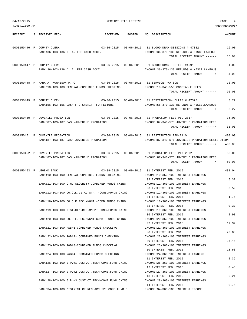| 04/13/2015    | RECEIPT FILE LISTING                                                                                      |        |                                                                                                                                    | PAGE<br>$\overline{4}$ |
|---------------|-----------------------------------------------------------------------------------------------------------|--------|------------------------------------------------------------------------------------------------------------------------------------|------------------------|
| TIME:11:09 AM |                                                                                                           |        |                                                                                                                                    | PREPARER: 0007         |
| RECEIPT       | S RECEIVED FROM<br>RECEIVED                                                                               | POSTED | NO DESCRIPTION                                                                                                                     | AMOUNT                 |
|               | 0000150446 P COUNTY CLERK<br>BANK: 36-103-136 D. A. FEE CASH ACCT.                                        |        | 03-06-2015  03-06-2015  01 BLOOD DRAW-SESSIONS # 47032<br>INCOME: 36-370-130 REFUNDS & MISCELLANEOUS                               | 16.00                  |
|               |                                                                                                           |        | TOTAL RECEIPT AMOUNT ----->                                                                                                        | 16.00                  |
|               | 0000150447 P COUNTY CLERK<br>BANK: 36-103-136 D. A. FEE CASH ACCT.                                        |        | 03-06-2015  03-06-2015  01 BLOOD DRAW- ESTELL #46918<br>INCOME: 36-370-130 REFUNDS & MISCELLANEOUS<br>TOTAL RECEIPT AMOUNT ----->  | 4.00<br>4.00           |
|               | 0000150448 P MARK A. MORRISON P. C. 03-06-2015 03-06-2015 01 SERVICE-WATSON                               |        |                                                                                                                                    | 70.00                  |
|               | BANK:10-103-100 GENERAL-COMBINED FUNDS CHECKING                                                           |        | INCOME:10-340-550 CONSTABLE FEES<br>TOTAL RECEIPT AMOUNT ----->                                                                    | 70.00                  |
|               | 0000150449 P COUNTY CLERK<br>BANK: 56-103-156 CASH-F C SHERIFF FORFEITURE                                 |        | 03-06-2015  03-06-2015  01 RESTITUTION- ELLIS # 47325<br>INCOME: 56-370-130 REFUNDS & MISCELLANEOUS<br>TOTAL RECEIPT AMOUNT -----> | 3.27<br>3.27           |
|               | 0000150450 P JUVENILE PROBATION                                                                           |        | 03-06-2015  03-06-2015  01 PROBATION FEES PID-2017                                                                                 | 35.00                  |
|               | BANK:87-103-187 CASH-JUVENILE PROBATION                                                                   |        | INCOME:87-340-575 JUVENILE PROBATION FEES<br>TOTAL RECEIPT AMOUNT ----->                                                           | 35.00                  |
|               | 0000150451 P JUVENILE PROBATION<br>BANK:87-103-187 CASH-JUVENILE PROBATION                                |        | 03-06-2015  03-06-2015  01 RESTITUTION PID-2110<br>INCOME:87-340-576 JUVENILE PROBATION RESTITUTION                                | 400.00                 |
|               |                                                                                                           |        | TOTAL RECEIPT AMOUNT ----->                                                                                                        | 400.00                 |
|               | 0000150452 P JUVENILE PROBATION<br>BANK:87-103-187 CASH-JUVENILE PROBATION                                |        | 03-06-2015  03-06-2015  01 PROBATION FEES PID-2092<br>INCOME:87-340-575 JUVENILE PROBATION FEES                                    | 50.00                  |
|               |                                                                                                           |        | TOTAL RECEIPT AMOUNT ----->                                                                                                        | 50.00                  |
|               | 0000150453 P LEGEND BANK<br>BANK:10-103-100 GENERAL-COMBINED FUNDS CHECKING                               |        | 03-09-2015  03-09-2015  01 INTEREST FEB. 2015<br>INCOME:10-360-100 INTEREST EARNINGS<br>02 INTEREST FEB. 2015                      | 431.04<br>5.32         |
|               | BANK:11-103-100 C.H. SECURITY-COMBINED FUNDS CKING                                                        |        | INCOME:11-360-100 INTEREST EARNINGS<br>03 INTEREST FEB. 2015                                                                       | 0.59                   |
|               | BANK:12-103-100 CO.CLK.VITAL STAT.-COMB.FUNDS CKING                                                       |        | INCOME:12-360-100 INTEREST EARNINGS<br>04 INTEREST FEB. 2015                                                                       | 1.75                   |
|               | BANK:18-103-100 CO.CLK.REC.MNGMT.-COMB.FUNDS CKING                                                        |        | INCOME:18-360-100 INTEREST EARNINGS<br>05 INTEREST FEB. 2015                                                                       | 0.37                   |
|               | BANK:19-103-100 DIST.CLK.REC.MNGMT-COMB.FUNDS CKING<br>BANK:20-103-100 CO.OFF.REC.MNGMT-COMB. FUNDS CKING |        | INCOME:19-360-100 INTEREST EARNINGS<br>06 INTEREST FEB. 2015<br>INCOME: 20-360-100 INTEREST EARNINGS                               | 2.98                   |
|               | BANK: 21-103-100 R&B#1-COMBINED FUNDS CHECKING                                                            |        | 07 INTEREST FEB. 2015<br>INCOME: 21-360-100 INTEREST EARNINGS                                                                      | 19.39                  |
|               | BANK: 22-103-100 R&B#2- COMBINED FUNDS CHECKING                                                           |        | 08 INTEREST FEB. 2015<br>INCOME: 22-360-100 INTEREST EARNINGS                                                                      | 20.03                  |
|               | BANK: 23-103-100 R&B#3-COMBINED FUNDS CHECKING                                                            |        | 09 INTEREST FEB. 2015<br>INCOME: 23-360-100 INTEREST EARNINGS                                                                      | 24.45                  |
|               | BANK:24-103-100 R&B#4- COMBINED FUNDS CHECKING                                                            |        | 10 INTEREST FEB. 2015<br>INCOME: 24-360-100 INTEREST EARNING<br>11 INTEREST FEB. 2015                                              | 13.53<br>2.39          |
|               | BANK: 26-103-100 J.P.#1 JUST.CT.TECH-COMB.FUND CKING                                                      |        | INCOME: 26-360-100 INTEREST EARNINGS<br>12 INTEREST FEB. 2015                                                                      | 0.48                   |
|               | BANK: 27-103-100 J.P.#2 JUST.CT.TECH-COMB.FUND CKING                                                      |        | INCOME: 27-360-100 INTEREST EARNINGS<br>13 INTEREST FEB. 2015                                                                      | 0.21                   |
|               | BANK: 28-103-100 J.P.#3 JUST.CT.TECH-COMB.FUND CKING                                                      |        | INCOME: 28-360-100 INTEREST EARNINGS<br>14 INTEREST FEB. 2015                                                                      | 0.75                   |
|               | BANK:34-103-100 DISTRICT CT.REC.ARCHIVE COMB.FUND C                                                       |        | INCOME: 34-360-100 INTEREST INCOME                                                                                                 |                        |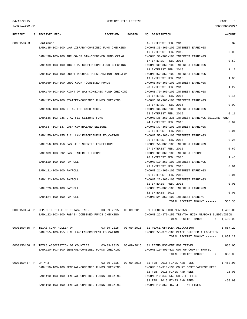TIME:11:09 AM PREPARER:0007

|                     |                                                   | RECEIPT S RECEIVED FROM                                                                                                                         | RECEIVED POSTED                                               | NO DESCRIPTION                                                                      | AMOUNT   |
|---------------------|---------------------------------------------------|-------------------------------------------------------------------------------------------------------------------------------------------------|---------------------------------------------------------------|-------------------------------------------------------------------------------------|----------|
| 0000150453          |                                                   | Continued<br>BANK:35-103-100 LAW LIBRARY-COMBINED FUND CHECKING                                                                                 |                                                               | 15 INTEREST FEB. 2015<br>INCOME: 35-360-100 INTEREST EARNINGS                       | 5.32     |
|                     |                                                   |                                                                                                                                                 |                                                               | 16 INTEREST FEB. 2015                                                               | 0.05     |
|                     | BANK:38-103-100 IHC CO-OP GIN-COMBINED FUND CKING |                                                                                                                                                 | INCOME: 38-360-100 INTEREST EARNINGS<br>17 INTEREST FEB. 2015 | 0.59                                                                                |          |
|                     |                                                   | BANK: 39-103-100 IHC B.R. COOPER-COMB. FUND CHECKING                                                                                            |                                                               | INCOME:39-360-100 INTEREST EARNINGS                                                 |          |
|                     |                                                   | BANK:52-103-100 COURT RECORDS PRESERVATION-COMB.FUN                                                                                             |                                                               | 18 INTEREST FEB. 2015<br>INCOME: 52-360-100 INTEREST EARNINGS                       | 1.12     |
|                     |                                                   | BANK:59-103-100 DRUG COURT-COMBINED FUNDS                                                                                                       |                                                               | 19 INTEREST FEB. 2015<br>INCOME:59-360-100 INTEREST EARNINGS                        | 1.06     |
|                     |                                                   |                                                                                                                                                 |                                                               | 20 INTEREST FEB. 2015                                                               | 1.22     |
|                     |                                                   | BANK:70-103-100 RIGHT OF WAY-COMBINED FUND CHECKING                                                                                             |                                                               | INCOME: 70-360-100 INTEREST EARNINGS<br>21 INTEREST FEB. 2015                       | 0.16     |
|                     |                                                   | BANK:92-103-100 STATZER-COMBINED FUNDS CHECKING                                                                                                 |                                                               | INCOME: 92-360-100 INTEREST EARNINGS                                                |          |
|                     |                                                   | BANK: 36-103-136 D. A. FEE CASH ACCT.                                                                                                           |                                                               | 22 INTEREST FEB. 2015<br>INCOME: 36-360-100 INTEREST EARNINGS                       | 0.02     |
|                     |                                                   | BANK: 36-103-236 D.A. FEE SEIZURE FUND                                                                                                          |                                                               | 23 INTEREST FEB. 2015<br>INCOME:36-360-236 INTEREST EARNINGS-SEIZURE FUND           | 0.11     |
|                     |                                                   |                                                                                                                                                 |                                                               | 24 INTEREST FEB. 2015                                                               | 0.04     |
|                     |                                                   | BANK: 37-103-137 CASH-CONTRABAND SEIZURE                                                                                                        |                                                               | INCOME: 37-360-100 INTEREST EARNINGS<br>25 INTEREST FEB. 2015                       | 0.01     |
|                     |                                                   | BANK:55-103-155 F.C. LAW ENFORCEMENT EDUCATION                                                                                                  |                                                               | INCOME:55-360-100 INTEREST EARNINGS                                                 |          |
|                     |                                                   | BANK: 56-103-156 CASH-F C SHERIFF FORFEITURE                                                                                                    |                                                               | 26 INTEREST FEB. 2015<br>INCOME: 56-360-100 INTEREST EARNINGS                       | 0.26     |
|                     |                                                   |                                                                                                                                                 |                                                               | 27 INTEREST FEB. 2015                                                               | 0.62     |
|                     |                                                   | BANK:89-103-992 CASH-INTEREST INCOME                                                                                                            |                                                               | INCOME:89-360-189 INTEREST INCOME<br>28 INTEREST FEB. 2015                          | 1.43     |
|                     |                                                   | BANK:10-100-100 PAYROLL                                                                                                                         |                                                               | INCOME:10-360-100 INTEREST EARNINGS<br>29 INTEREST FEB. 2015                        | 0.01     |
|                     |                                                   | BANK: 21-100-100 PAYROLL                                                                                                                        |                                                               | INCOME: 21-360-100 INTEREST EARNINGS                                                |          |
|                     |                                                   | BANK: 22-100-100 PAYROLL                                                                                                                        |                                                               | 30 INTEREST FEB. 2015<br>INCOME: 22-360-100 INTEREST EARNINGS                       | 0.01     |
|                     |                                                   | BANK: 23-100-100 PAYROLL                                                                                                                        |                                                               | 31 INTEREST FEB. 2015                                                               | 0.01     |
|                     |                                                   |                                                                                                                                                 |                                                               | INCOME: 23-360-100 INTEREST EARNINGS<br>32 INTEREST 2015                            | 0.01     |
|                     |                                                   | BANK: 24-100-100 PAYROLL                                                                                                                        |                                                               | INCOME: 24-360-100 INTEREST EARNING<br>TOTAL RECEIPT AMOUNT -----> 535.33           |          |
|                     |                                                   |                                                                                                                                                 |                                                               |                                                                                     |          |
|                     |                                                   | 0000150454 P REPUBLIC TITLE OF TEXAS, INC. 03-09-2015 03-09-2015 01 TRENTON HIGH MEADOWS<br>BANK:22-103-100 R&B#2- COMBINED FUNDS CHECKING      |                                                               | INCOME: 22-370-150 TRENTON HIGH MEADOWS SUBDIVISION                                 | 1,400.00 |
|                     |                                                   |                                                                                                                                                 |                                                               | TOTAL RECEIPT AMOUNT -----> 1,400.00                                                |          |
|                     |                                                   | 0000150455 P TEXAS COMPTROLLER OF                                                                                                               |                                                               | 03-09-2015  03-09-2015  01 PEACE OFFICER ALLOCATION                                 | 1,857.22 |
|                     |                                                   | BANK:55-103-155 F.C. LAW ENFORCEMENT EDUCATION                                                                                                  |                                                               | INCOME: 55-370-160 PEACE OFFICER ALLOCATION<br>TOTAL RECEIPT AMOUNT -----> 1,857.22 |          |
|                     |                                                   |                                                                                                                                                 |                                                               |                                                                                     |          |
|                     |                                                   | 0000150456 P TEXAS ASSOCIATION OF COUNTIES 03-09-2015 03-09-2015 01 REIMBURSEMENT FOR TRAVEL<br>BANK:10-103-100 GENERAL-COMBINED FUNDS CHECKING |                                                               | INCOME:10-400-427 OUT OF COUNTY TRAVEL                                              | 888.05   |
|                     |                                                   |                                                                                                                                                 |                                                               | TOTAL RECEIPT AMOUNT ----->                                                         | 888.05   |
| 0000150457 P JP # 3 |                                                   |                                                                                                                                                 |                                                               | 03-09-2015  03-09-2015  01 FEB. 2015 FINES AND FEES                                 | 1,463.90 |
|                     |                                                   | BANK:10-103-100 GENERAL-COMBINED FUNDS CHECKING                                                                                                 |                                                               | INCOME:10-318-130 COURT COSTS/ARREST FEES<br>02 FEB. 2015 FINES AND FEES            | 15.00    |
|                     |                                                   | BANK:10-103-100 GENERAL-COMBINED FUNDS CHECKING                                                                                                 |                                                               | INCOME:10-340-560 SHERIFF FEES                                                      |          |
|                     |                                                   | BANK:10-103-100 GENERAL-COMBINED FUNDS CHECKING                                                                                                 |                                                               | 03 FEB. 2015 FINES AND FEES<br>INCOME:10-350-457 J. P. #3 FINES                     | 459.90   |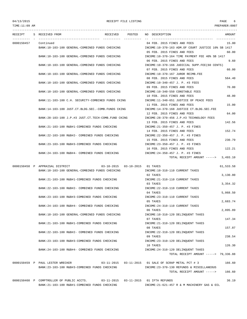| TIME:11:09 AM |                                                     |                                  |        |                                                    | PREPARER: 0007 |
|---------------|-----------------------------------------------------|----------------------------------|--------|----------------------------------------------------|----------------|
| RECEIPT       | S RECEIVED FROM                                     | RECEIVED                         | POSTED | NO DESCRIPTION                                     | AMOUNT         |
| 0000150457    | Continued                                           |                                  |        | 04 FEB. 2015 FINES AND FEES                        | 15.00          |
|               | BANK:10-103-100 GENERAL-COMBINED FUNDS CHECKING     |                                  |        | INCOME:10-370-163 ADM.OF COURT JUSTICE 10% SB 1417 |                |
|               |                                                     |                                  |        | 05 FEB. 2015 FINES AND FEES                        | 60.00          |
|               | BANK:10-103-100 GENERAL-COMBINED FUNDS CHECKING     |                                  |        | INCOME:10-370-164 TIME PAYMENT FEE 40% SB 1417     |                |
|               |                                                     |                                  |        | 06 FEB. 2015 FINES AND FEES                        | 9.60           |
|               | BANK:10-103-100 GENERAL-COMBINED FUNDS CHECKING     |                                  |        | INCOME:10-370-166 JUDICIAL SUPP.FEE(60 CENTS)      |                |
|               |                                                     |                                  |        | 07 FEB. 2015 FINES AND FEES                        | 60.00          |
|               | BANK:10-103-100 GENERAL-COMBINED FUNDS CHECKING     |                                  |        | INCOME:10-370-167 JUROR REIMB.FEE                  |                |
|               |                                                     |                                  |        | 08 FEB. 2015 FINES AND FEES                        | 564.40         |
|               | BANK:10-103-100 GENERAL-COMBINED FUNDS CHECKING     |                                  |        | INCOME:10-340-457 J. P. #3 FEES                    |                |
|               |                                                     |                                  |        | 09 FEB. 2015 FINES AND FEES                        | 70.00          |
|               | BANK:10-103-100 GENERAL-COMBINED FUNDS CHECKING     |                                  |        | INCOME:10-340-550 CONSTABLE FEES                   |                |
|               |                                                     |                                  |        | 10 FEB. 2015 FINES AND FEES                        | 48.00          |
|               | BANK:11-103-100 C.H. SECURITY-COMBINED FUNDS CKING  |                                  |        | INCOME:11-340-651 JUSTICE OF PEACE FEES            |                |
|               |                                                     |                                  |        | 11 FEB. 2015 FINES AND FEES                        | 15.00          |
|               | BANK:14-103-100 JUST.CT.BLDG.SEC.-COMB.FUNDS CKING  |                                  |        | INCOME:14-370-168 JUSTICE CT.BLDG.SEC.FEE          |                |
|               |                                                     |                                  |        | 12 FEB. 2015 FINES AND FEES                        | 64.00          |
|               | BANK:28-103-100 J.P.#3 JUST.CT.TECH-COMB.FUND CKING |                                  |        | INCOME: 28-370-456 J.P.#3 TECHNOLOGY FEES          |                |
|               |                                                     |                                  |        | 13 FEB. 2015 FINES AND FEES                        | 142.56         |
|               | BANK:21-103-100 R&B#1-COMBINED FUNDS CHECKING       |                                  |        | INCOME: 21-350-457 J. P. #3 FINES                  |                |
|               |                                                     |                                  |        | 14 FEB. 2015 FINES AND FEES                        | 152.74         |
|               | BANK:22-103-100 R&B#2- COMBINED FUNDS CHECKING      |                                  |        | INCOME: 22-350-457 J. P. #3 FINES                  |                |
|               |                                                     |                                  |        | 15 FEB. 2015 FINES AND FEES                        | 230.79         |
|               | BANK:23-103-100 R&B#3-COMBINED FUNDS CHECKING       |                                  |        | INCOME: 23-350-457 J. P. #3 FINES                  |                |
|               |                                                     |                                  |        | 16 FEB. 2015 FINES AND FEES                        | 122.21         |
|               | BANK:24-103-100 R&B#4- COMBINED FUNDS CHECKING      |                                  |        | INCOME: 24-350-457 J. P. #3 FINES                  |                |
|               |                                                     |                                  |        | TOTAL RECEIPT AMOUNT ----->                        | 3,493.10       |
|               | 0000150458 P APPRAISAL DISTRICT                     | 03-10-2015  03-10-2015  01 TAXES |        |                                                    | 61,533.58      |
|               | BANK:10-103-100 GENERAL-COMBINED FUNDS CHECKING     |                                  |        | INCOME:10-310-110 CURRENT TAXES                    |                |
|               |                                                     |                                  |        | 02 TAXES                                           | 3,130.80       |
|               | BANK:21-103-100 R&B#1-COMBINED FUNDS CHECKING       |                                  |        | INCOME: 21-310-110 CURRENT TAXES                   |                |
|               |                                                     |                                  |        | 03 TAXES                                           | 3,354.32       |
|               | BANK: 22-103-100 R&B#2- COMBINED FUNDS CHECKING     |                                  |        | INCOME: 22-310-110 CURRENT TAXES                   |                |
|               |                                                     |                                  |        | 04 TAXES                                           | 5,068.50       |
|               | BANK: 23-103-100 R&B#3-COMBINED FUNDS CHECKING      |                                  |        | INCOME: 23-310-110 CURRENT TAXES                   |                |
|               |                                                     |                                  |        | 05 TAXES                                           | 2,683.74       |
|               | BANK: 24-103-100 R&B#4- COMBINED FUNDS CHECKING     |                                  |        | INCOME: 24-310-110 CURRENT TAXES                   |                |
|               |                                                     |                                  |        | 06 TAXES                                           | 2,895.89       |
|               | BANK:10-103-100 GENERAL-COMBINED FUNDS CHECKING     |                                  |        | INCOME:10-310-120 DELINQUENT TAXES                 |                |
|               |                                                     |                                  |        | 07 TAXES                                           | 147.34         |
|               | BANK: 21-103-100 R&B#1-COMBINED FUNDS CHECKING      |                                  |        | INCOME: 21-310-120 DELINQUENT TAXES                |                |
|               |                                                     |                                  |        | 08 TAXES                                           | 157.87         |
|               | BANK: 22-103-100 R&B#2- COMBINED FUNDS CHECKING     |                                  |        | INCOME: 22-310-120 DELINQUENT TAXES                |                |
|               |                                                     |                                  |        | 09 TAXES                                           | 238.54         |
|               | BANK: 23-103-100 R&B#3-COMBINED FUNDS CHECKING      |                                  |        | INCOME: 23-310-120 DELINQUENT TAXES                |                |

BANK:24-103-100 R&B#4- COMBINED FUNDS CHECKING INCOME:24-310-120 DELINQUENT TAXES

0000150459 P PAUL LESTER WRECKER 03-11-2015 03-11-2015 01 SALE OF SCRAP METAL PCT # 3 166.60 BANK:23-103-100 R&B#3-COMBINED FUNDS CHECKING INCOME:23-370-130 REFUNDS & MISCELLANEOUS

BANK:21-103-100 R&B#1-COMBINED FUNDS CHECKING INCOME:21-621-457 R & M MACHINERY GAS & OIL

0000150460 P COMPTROLLER OF PUBLIC ACCTS. 03-11-2015 03-11-2015 01 IFTA REFUNDS 36.19

10 TAXES 126.30

TOTAL RECEIPT AMOUNT -----> 79,336.88

TOTAL RECEIPT AMOUNT -----> 166.60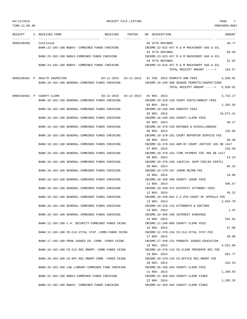TIME:11:09 AM PREPARER:0007 --------------------------------------------------------------------------------------------------------------------------------- RECEIPT S RECEIVED FROM THE RECEIVED POSTED NO DESCRIPTION THE RECEIVED AMOUNT ---------- - ----------------------------------- ---------- ---------- -- ----------------------------------- ----------- 0000150460 Continued 02 IFTA REFUNDS 38.77 BANK:22-103-100 R&B#2- COMBINED FUNDS CHECKING INCOME:22-622-457 R & M MACHINERY GAS & OIL 03 IFTA REFUNDS 58.59 BANK:23-103-100 R&B#3-COMBINED FUNDS CHECKING INCOME:23-623-457 R & M MACHINERY GAS & OIL 04 IFTA REFUNDS 31.02 BANK:24-103-100 R&B#4- COMBINED FUNDS CHECKING INCOME:24-624-457 R & M MACHINERY GAS & OIL TOTAL RECEIPT AMOUNT -----> 164.57 0000150461 P HEALTH INSPECTOR 03-11-2015 03-11-2015 01 FEB. 2015 PERMITS AND FEES 5,930.01 BANK:10-103-100 GENERAL-COMBINED FUNDS CHECKING INCOME:10-320-300 SEWAGE PERMITS/INSPECTIONS TOTAL RECEIPT AMOUNT -----> 5,930.01 0000150462 P COUNTY CLERK 03-12-2015 03-12-2015 01 NOV. 2014 4,732.17 BANK:10-103-100 GENERAL-COMBINED FUNDS CHECKING INCOME:10-318-130 COURT COSTS/ARREST FEES 02 NOV. 2014 1,392.55 BANK:10-103-100 GENERAL-COMBINED FUNDS CHECKING INCOME:10-340-560 SHERIFF FEES 03 NOV. 2014 16,071.41 BANK:10-103-100 GENERAL-COMBINED FUNDS CHECKING INCOME:10-340-403 COUNTY CLERK FEES 04 NOV. 2014 48.27 BANK:10-103-100 GENERAL-COMBINED FUNDS CHECKING INCOME:10-370-130 REFUNDS & MISCELLANEOUS 05 NOV. 2014 135.66 BANK:10-103-100 GENERAL-COMBINED FUNDS CHECKING INCOME:10-370-162 COURT REPORTER SERVICE FEE 06 NOV. 2014 58.40 BANK:10-103-100 GENERAL-COMBINED FUNDS CHECKING INCOME:10-370-163 ADM.OF COURT JUSTICE 10% SB 1417 07 NOV. 2014 233.58 BANK:10-103-100 GENERAL-COMBINED FUNDS CHECKING INCOME:10-370-164 TIME PAYMENT FEE 40% SB 1417 08 NOV. 2014 14.24 BANK:10-103-100 GENERAL-COMBINED FUNDS CHECKING INCOME:10-370-166 JUDICIAL SUPP.FEE(60 CENTS) 09 NOV. 2014 95.32 BANK:10-103-100 GENERAL-COMBINED FUNDS CHECKING INCOME:10-370-167 JUROR REIMB.FEE 10 NOV. 2014 10.00 BANK:10-103-100 GENERAL-COMBINED FUNDS CHECKING INCOME:10-340-400 COUNTY JUDGE FEES 11 NOV. 2014 596.57 BANK:10-103-100 GENERAL-COMBINED FUNDS CHECKING INCOME:10-340-475 DISTRICT ATTORNEY FEES 12 NOV. 2014 45.22 BANK:10-103-100 GENERAL-COMBINED FUNDS CHECKING INCOME:10-340-601 C.C.6TH COURT OF APPEALS FEE 13 NOV. 2014 2,034.78 BANK:10-103-100 GENERAL-COMBINED FUNDS CHECKING INCOME:10-318-132 ATTORNEYS & DOCTORS 14 NOV. 2014 1.42 BANK:10-103-100 GENERAL-COMBINED FUNDS CHECKING INCOME:10-360-100 INTEREST EARNINGS 15 NOV. 2014 591.82 BANK:11-103-100 C.H. SECURITY-COMBINED FUNDS CKING INCOME:11-340-600 COUNTY CLERK FEES 16 NOV. 2014 57.00 BANK:12-103-100 CO.CLK.VITAL STAT.-COMB.FUNDS CKING INCOME:12-370-134 CO.CLK.VITAL STAT.FEE 17 NOV. 2014 40.00 BANK:17-103-100 PROB.JUDGES ED.-COMB. FUNDS CKING INCOME:17-340-131 PROBATE JUDGES EDUCATION 18 NOV. 2014 4,551.89 BANK:18-103-100 CO.CLK.REC.MNGMT.-COMB.FUNDS CKING INCOME:18-370-133 CO.CLERK PRESERVE REC FEE 19 NOV. 2014 681.77 BANK:20-103-100 CO.OFF.REC.MNGMT-COMB. FUNDS CKING INCOME:20-370-135 CO.OFFICE REC.MNGMT.FEE 20 NOV. 2014 316.53 BANK:35-103-100 LAW LIBRARY-COMBINED FUND CHECKING INCOME:35-340-403 COUNTY CLERK FEES 21 NOV. 2014 1,209.03 BANK:21-103-100 R&B#1-COMBINED FUNDS CHECKING INCOME:21-350-403 COUNTY CLERK FINES 22 NOV. 2014 1,295.35 BANK:22-103-100 R&B#2- COMBINED FUNDS CHECKING INCOME:22-350-403 COUNTY CLERK FINES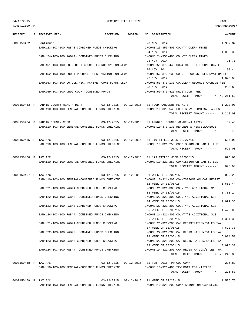TIME:11:09 AM PREPARER:0007

## 04/13/2015 RECEIPT FILE LISTING PAGE 8

| RECEIPT              | S RECEIVED FROM                                                                        |  | RECEIVED POSTED NO DESCRIPTION                                                                        | AMOUNT    |
|----------------------|----------------------------------------------------------------------------------------|--|-------------------------------------------------------------------------------------------------------|-----------|
|                      |                                                                                        |  |                                                                                                       |           |
| 0000150462 Continued |                                                                                        |  | 23 NOV. 2014<br>BANK:23-103-100 R&B#3-COMBINED FUNDS CHECKING THE MOOME:23-350-403 COUNTY CLERK FINES | 1,957.32  |
|                      |                                                                                        |  | 24 NOV. 2014                                                                                          | 1,036.39  |
|                      | BANK:24-103-100 R&B#4- COMBINED FUNDS CHECKING                                         |  | INCOME:24-350-403 COUNTY CLERK FINES<br>25 NOV. 2014                                                  | 91.71     |
|                      | BANK:51-103-100 CO.& DIST.COURT TECHNOLOGY-COMB.FUN                                    |  | INCOME:51-370-440 CO.& DIST.CT.TECHNOLOGY FEE                                                         |           |
|                      | BANK:52-103-100 COURT RECORDS PRESERVATION-COMB.FUN                                    |  | 26 NOV. 2014<br>INCOME:52-370-133 COURT RECORDS PRESERVATION FEE                                      | 90.44     |
|                      |                                                                                        |  | 27 NOV. 2014                                                                                          | 4,640.00  |
|                      | BANK:53-103-100 CO.CLK.REC.ARCHIVE -COMB.FUNDS CKIN                                    |  | INCOME:53-370-133 CO.CLERK RECORDS ARCHIVE FEE<br>28 NOV. 2014                                        | 232.69    |
|                      | BANK:59-103-100 DRUG COURT-COMBINED FUNDS                                              |  | INCOME:59-370-425 DRUG COURT FEE                                                                      |           |
|                      |                                                                                        |  | TOTAL RECEIPT AMOUNT $--- 2$ 42,261.53                                                                |           |
|                      |                                                                                        |  |                                                                                                       |           |
|                      | 0000150463 P FANNIN COUNTY HEALTH DEPT. 03-12-2015 03-12-2015 01 FOOD HANDLERS PERMITS |  |                                                                                                       | 1,210.00  |
|                      | BANK:10-103-100 GENERAL-COMBINED FUNDS CHECKING                                        |  | INCOME:10-320-545 FOOD SERV.PERMITS/CLASSES                                                           |           |
|                      |                                                                                        |  | TOTAL RECEIPT AMOUNT $---2$ 1,210.00                                                                  |           |
|                      |                                                                                        |  |                                                                                                       |           |
|                      | 0000150464 P FANNIN COUNTY CSCD                                                        |  | 03-12-2015  03-12-2015  01 ARNOLD, RONNIE WAYNE #J 19729                                              | 32.45     |
|                      | BANK:10-103-100 GENERAL-COMBINED FUNDS CHECKING                                        |  | INCOME:10-370-130 REFUNDS & MISCELLANEOUS                                                             |           |
|                      |                                                                                        |  | TOTAL RECEIPT AMOUNT ----->                                                                           | 32.45     |
| 0000150465 P TAX A/C |                                                                                        |  | 03-12-2015  03-12-2015  01 119 TITLES WEEK 02/27/15                                                   | 595.00    |
|                      | BANK:10-103-100 GENERAL-COMBINED FUNDS CHECKING                                        |  | INCOME:10-321-250 COMMISSION ON CAR TITLES                                                            |           |
|                      |                                                                                        |  | TOTAL RECEIPT AMOUNT ----->                                                                           | 595.00    |
|                      |                                                                                        |  |                                                                                                       |           |
| 0000150466 P TAX A/C |                                                                                        |  | 03-12-2015  03-12-2015  01 179 TITLES WEEK 03/06/15                                                   | 895.00    |
|                      | BANK:10-103-100 GENERAL-COMBINED FUNDS CHECKING                                        |  | INCOME:10-321-250 COMMISSION ON CAR TITLES                                                            |           |
|                      |                                                                                        |  | TOTAL RECEIPT AMOUNT -----> 895.00                                                                    |           |
|                      |                                                                                        |  |                                                                                                       |           |
| 0000150467 P TAX A/C |                                                                                        |  | 03-12-2015  03-12-2015  01 WEEK OF 03/06/15                                                           | 2,069.28  |
|                      | BANK:10-103-100 GENERAL-COMBINED FUNDS CHECKING                                        |  | INCOME:10-321-200 COMMISSIONS ON CAR REGIST                                                           |           |
|                      |                                                                                        |  | 02 WEEK OF 03/06/15                                                                                   | 1,662.44  |
|                      | BANK: 21-103-100 R&B#1-COMBINED FUNDS CHECKING                                         |  | INCOME: 21-321-300 COUNTY'S ADDITIONAL \$10                                                           |           |
|                      |                                                                                        |  | 03 WEEK OF 03/06/15                                                                                   | 1,781.14  |
|                      | BANK:22-103-100 R&B#2- COMBINED FUNDS CHECKING                                         |  | INCOME:22-321-300 COUNTY'S ADDITIONAL \$10                                                            |           |
|                      |                                                                                        |  | 04 WEEK OF 03/06/15                                                                                   | 2,691.36  |
|                      | BANK: 23-103-100 R&B#3-COMBINED FUNDS CHECKING                                         |  | INCOME: 23-321-300 COUNTY'S ADDITIONAL \$10                                                           |           |
|                      |                                                                                        |  | 05 WEEK OF 03/06/15                                                                                   | 1,425.06  |
|                      | BANK:24-103-100 R&B#4- COMBINED FUNDS CHECKING                                         |  | INCOME: 24-321-300 COUNTY'S ADDITIONAL \$10                                                           |           |
|                      |                                                                                        |  | 06 WEEK OF 03/06/15                                                                                   | 4, 314.35 |
|                      | BANK: 21-103-100 R&B#1-COMBINED FUNDS CHECKING                                         |  | INCOME: 21-321-200 CAR REGISTRATION/SALES TAX                                                         |           |
|                      |                                                                                        |  | 07 WEEK OF 03/06/15                                                                                   | 4,622.38  |
|                      | BANK:22-103-100 R&B#2- COMBINED FUNDS CHECKING                                         |  | INCOME: 22-321-200 CAR REGISTRATION/SALES TAX                                                         |           |
|                      |                                                                                        |  | 08 WEEK OF 03/06/15                                                                                   | 6,984.58  |
|                      | BANK: 23-103-100 R&B#3-COMBINED FUNDS CHECKING                                         |  | INCOME: 23-321-200 CAR REGISTRATION/SALES TAX                                                         |           |
|                      |                                                                                        |  | 09 WEEK OF 03/06/15                                                                                   | 3,698.30  |
|                      | BANK:24-103-100 R&B#4- COMBINED FUNDS CHECKING                                         |  | INCOME: 24-321-200 CAR REGISTRATION/SALES TAX                                                         |           |
|                      |                                                                                        |  | TOTAL RECEIPT AMOUNT -----> 29,248.89                                                                 |           |
|                      |                                                                                        |  |                                                                                                       |           |
| 0000150468 P TAX A/C |                                                                                        |  | 03-12-2015  03-12-2015  01 FEB. 2015 TPW CO. COMM.                                                    | 226.83    |
|                      | BANK:10-103-100 GENERAL-COMBINED FUNDS CHECKING                                        |  | INCOME:10-321-400 TPW BOAT REG./TITLES                                                                |           |
|                      |                                                                                        |  | TOTAL RECEIPT AMOUNT ----->                                                                           | 226.83    |
|                      |                                                                                        |  |                                                                                                       |           |
| 0000150469 P TAX A/C |                                                                                        |  | 03-12-2015  03-12-2015  01 WEEK OF 02/27/15                                                           | 1,576.75  |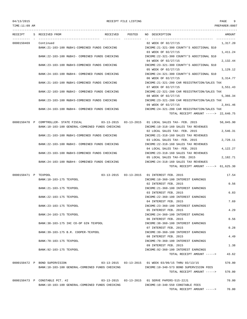TOTAL RECEIPT AMOUNT -----> 43.62

TIME:11:09 AM PREPARER:0007 --------------------------------------------------------------------------------------------------------------------------------- RECEIPT S RECEIVED FROM THE RECEIVED POSTED NO DESCRIPTION THE RECEIVED AMOUNT ---------- - ----------------------------------- ---------- ---------- -- ----------------------------------- ----------- 0000150469 Continued 1.317.20 BANK:21-103-100 R&B#1-COMBINED FUNDS CHECKING INCOME:21-321-300 COUNTY'S ADDITIONAL \$10 03 WEEK OF 02/27/15 1,411.24 BANK:22-103-100 R&B#2- COMBINED FUNDS CHECKING INCOME:22-321-300 COUNTY'S ADDITIONAL \$10 04 WEEK OF 02/27/15 2,132.44 BANK:23-103-100 R&B#3-COMBINED FUNDS CHECKING INCOME:23-321-300 COUNTY'S ADDITIONAL \$10 05 WEEK OF 02/27/15 1,129.12 BANK:24-103-100 R&B#4- COMBINED FUNDS CHECKING INCOME:24-321-300 COUNTY'S ADDITIONAL \$10 06 WEEK OF 02/27/15 3,314.77 BANK:21-103-100 R&B#1-COMBINED FUNDS CHECKING INCOME:21-321-200 CAR REGISTRATION/SALES TAX 07 WEEK OF 02/27/15 3,551.43 BANK:22-103-100 R&B#2- COMBINED FUNDS CHECKING INCOME:22-321-200 CAR REGISTRATION/SALES TAX 08 WEEK OF 02/27/15 5,366.34 BANK:23-103-100 R&B#3-COMBINED FUNDS CHECKING INCOME:23-321-200 CAR REGISTRATION/SALES TAX 09 WEEK OF 02/27/15 2,841.46 BANK:24-103-100 R&B#4- COMBINED FUNDS CHECKING INCOME:24-321-200 CAR REGISTRATION/SALES TAX TOTAL RECEIPT AMOUNT -----> 22,640.75 0000150470 P COMPTROLLER- STATE FISCAL 03-13-2015 03-13-2015 01 LOCAL SALES TAX- FEB. 2015 50,045.90 BANK:10-103-100 GENERAL-COMBINED FUNDS CHECKING INCOME:10-318-160 SALES TAX REVENUES 02 LOCAL SALES TAX- FEB. 2015 2,546.31 BANK:21-103-100 R&B#1-COMBINED FUNDS CHECKING INCOME:21-318-160 SALES TAX REVENUES 03 LOCAL SALES TAX- FEB. 2015 2,728.11 BANK:22-103-100 R&B#2- COMBINED FUNDS CHECKING INCOME:22-318-160 SALES TAX REVENUES 04 LOCAL SALES TAX- FEB. 2015 4,122.27 BANK:23-103-100 R&B#3-COMBINED FUNDS CHECKING INCOME:23-318-160 SALES TAX REVENUES 05 LOCAL SALES TAX-FEB. 2015 2,182.71 BANK:24-103-100 R&B#4- COMBINED FUNDS CHECKING INCOME:24-318-160 SALES TAX REVENUES TOTAL RECEIPT AMOUNT -----> 61,625.30 0000150471 P TEXPOOL 03-13-2015 03-13-2015 01 INTEREST FEB. 2015 17.54 BANK:10-103-175 TEXPOOL SERIES AND TROOME:10-360-100 INTEREST EARNINGS 02 INTEREST FEB. 2015 0.56 BANK:21-103-175 TEXPOOL 6 6 CONFERENT EARNINGS INCOME:21-360-100 INTEREST EARNINGS 03 INTEREST FEB. 2015 6.83 BANK:22-103-175 TEXPOOL INCOME:22-360-100 INTEREST EARNINGS 04 INTEREST FEB. 2015 7.69 BANK:23-103-175 TEXPOOL INCOME:23-360-100 INTEREST EARNINGS 05 INTEREST FEB. 2015 4.29 BANK:24-103-175 TEXPOOL INCOME:24-360-100 INTEREST EARNING 06 INTEREST FEB. 2015 0.56

BANK:38-103-175 IHC CO-OP GIN TEXPOOL INCOME:38-360-100 INTEREST EARNINGS 07 INTEREST FEB. 2015 0.28 BANK:39-103-175 B.R. COOPER-TEXPOOL INCOME:39-360-100 INTEREST EARNINGS 08 INTEREST FEB. 2015 4.49 BANK:70-103-175 TEXPOOL SECONDERS AND RESOLUTION OF THE INCOME:70-360-100 INTEREST EARNINGS 09 INTEREST FEB. 2015 1.38

BANK:92-103-175 TEXPOOL 6 6 CONSERVATION COME:92-360-100 INTEREST EARNINGS

0000150472 P BOND SUPERVISION 03-13-2015 03-13-2015 01 WEEK 03/09/15 THRU 03/13/15 570.00 BANK:10-103-100 GENERAL-COMBINED FUNDS CHECKING INCOME:10-340-573 BOND SUPERVISION FEES TOTAL RECEIPT AMOUNT -----> 570.00

0000150473 P CONSTABLE PCT. #2 03-13-2015 03-13-2015 01 SERVE PAPERS-515-22J1 70.00 BANK:10-103-100 GENERAL-COMBINED FUNDS CHECKING INCOME:10-340-550 CONSTABLE FEES TOTAL RECEIPT AMOUNT -----> 70.00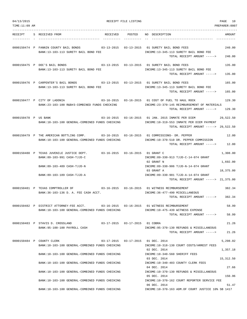| 04/13/2015<br>TIME:11:09 AM |                                                                                                                                              | RECEIPT FILE LISTING             |                                                                                                                                                                                                                                    | PAGE<br>10<br>PREPARER:0007       |
|-----------------------------|----------------------------------------------------------------------------------------------------------------------------------------------|----------------------------------|------------------------------------------------------------------------------------------------------------------------------------------------------------------------------------------------------------------------------------|-----------------------------------|
| RECEIPT                     | S RECEIVED FROM<br>RECEIVED                                                                                                                  | POSTED                           | NO DESCRIPTION                                                                                                                                                                                                                     | AMOUNT                            |
|                             | 0000150474 P FANNIN COUNTY BAIL BONDS<br>BANK:13-103-113 SURETY BAIL BOND FEE                                                                |                                  | INCOME:13-345-113 SURETY BAIL BOND FEE<br>TOTAL RECEIPT AMOUNT ----->                                                                                                                                                              | 240.00<br>240.00                  |
|                             | 0000150475 P DOC'S BAIL BONDS<br>BANK:13-103-113 SURETY BAIL BOND FEE                                                                        |                                  | INCOME:13-345-113 SURETY BAIL BOND FEE<br>TOTAL RECEIPT AMOUNT ----->                                                                                                                                                              | 135.00<br>135.00                  |
|                             | 0000150476 P CARPENTER'S BAIL BONDS 03-13-2015 03-13-2015 01 SURETY BAIL BOND FEES<br>BANK:13-103-113 SURETY BAIL BOND FEE                   |                                  | INCOME:13-345-113 SURETY BAIL BOND FEE<br>TOTAL RECEIPT AMOUNT ----->                                                                                                                                                              | 165.00<br>165.00                  |
|                             | 0000150477 P CITY OF LADONIA<br>BANK: 23-103-100 R&B#3-COMBINED FUNDS CHECKING                                                               |                                  | 03-16-2015  03-16-2015  01 COST OF FUEL TO HAUL ROCK<br>INCOME: 23-370-145 REIMBURSEMENT OF MATERIALS<br>TOTAL RECEIPT AMOUNT ----->                                                                                               | 129.30<br>129.30                  |
| 0000150478 P US BANK        | BANK:10-103-100 GENERAL-COMBINED FUNDS CHECKING                                                                                              |                                  | 03-16-2015  03-16-2015  01 JAN. 2015 INMATE PER DIEM<br>INCOME:10-319-553 INMATE PER DIEM PAYMENT<br>TOTAL RECEIPT AMOUNT -----> 29,522.50                                                                                         | 29,522.50                         |
|                             | 0000150479 P THE AMERICAN BOTTLING COMP. 03-16-2015 03-16-2015 01 COMMISSIONS- DR. PEPPER<br>BANK:10-103-100 GENERAL-COMBINED FUNDS CHECKING |                                  | INCOME:10-370-510 DR. PEPPER COMMISSION<br>TOTAL RECEIPT AMOUNT ----->                                                                                                                                                             | 12.00<br>12.00                    |
|                             | 0000150480 P TEXAS JUVENILE JUSTICE DEPT.<br>BANK:89-103-991 CASH-TJJD-C<br>BANK:89-103-489 CASH-TJJD-N<br>BANK:89-103-189 CASH-TJJD-A       |                                  | 03-16-2015  03-16-2015  01 GRANT C<br>INCOME:89-330-913 TJJD-C-14-074 GRANT<br>02 GRANT N<br>INCOME:89-330-906 TJJD-N-14-074 GRANT<br>03 GRANT A<br>INCOME:89-330-901 TJJD-A-14-074 GRANT<br>TOTAL RECEIPT AMOUNT -----> 21,375.00 | 1,308.00<br>1,692.00<br>18,375.00 |
|                             | 0000150481 P TEXAS COMPTROLLER OF 03-16-2015 03-16-2015 01 WITNESS REIMBURSEMENT<br>BANK: 36-103-136 D. A. FEE CASH ACCT.                    |                                  | INCOME: 36-477-490 MISCELLANEOUS<br>TOTAL RECEIPT AMOUNT ----->                                                                                                                                                                    | 382.34<br>382.34                  |
|                             | 0000150482 P DISTRICT ATTORNEY-FEE ACCT.<br>BANK:10-103-100 GENERAL-COMBINED FUNDS CHECKING                                                  |                                  | 03-16-2015  03-16-2015  01 WITNESS REIMBURSEMENT<br>INCOME:10-475-439 WITNESS EXPENSE<br>TOTAL RECEIPT AMOUNT ----->                                                                                                               | 58.99<br>58.99                    |
|                             | 0000150483 P STAVIS D. CROSSLAND<br>BANK: 95-100-100 PAYROLL CASH                                                                            | 03-17-2015  03-17-2015  01 COBRA | INCOME: 95-370-130 REFUNDS & MISCELLANEOUS<br>TOTAL RECEIPT AMOUNT ----->                                                                                                                                                          | 21.26<br>21.26                    |
|                             | 0000150484 P COUNTY CLERK<br>BANK:10-103-100 GENERAL-COMBINED FUNDS CHECKING                                                                 |                                  | 03-17-2015  03-17-2015  01 DEC. 2014<br>INCOME: 10-318-130 COURT COSTS/ARREST FEES<br>02 DEC. 2014                                                                                                                                 | 5,298.02<br>1,357.18              |
|                             | BANK:10-103-100 GENERAL-COMBINED FUNDS CHECKING<br>BANK:10-103-100 GENERAL-COMBINED FUNDS CHECKING                                           |                                  | INCOME:10-340-560 SHERIFF FEES<br>03 DEC. 2014<br>INCOME:10-340-403 COUNTY CLERK FEES                                                                                                                                              | 15,312.50                         |
|                             | BANK:10-103-100 GENERAL-COMBINED FUNDS CHECKING                                                                                              |                                  | 04 DEC. 2014<br>INCOME:10-370-130 REFUNDS & MISCELLANEOUS                                                                                                                                                                          | 27.66                             |
|                             | BANK:10-103-100 GENERAL-COMBINED FUNDS CHECKING                                                                                              |                                  | 05 DEC. 2014<br>INCOME:10-370-162 COURT REPORTER SERVICE FEE<br>06 DEC. 2014                                                                                                                                                       | 150.96<br>51.47                   |
|                             | BANK:10-103-100 GENERAL-COMBINED FUNDS CHECKING                                                                                              |                                  | INCOME:10-370-163 ADM.OF COURT JUSTICE 10% SB 1417                                                                                                                                                                                 |                                   |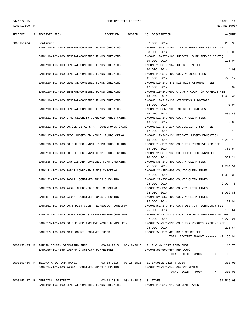# TIME:11:09 AM PREPARER:0007

## 04/13/2015 RECEIPT FILE LISTING PAGE 11

--------------------------------------------------------------------------------------------------------------------------------- RECEIPT S RECEIVED FROM THE RECEIVED POSTED NO DESCRIPTION THE RECEIVED AMOUNT ---------- - ----------------------------------- ---------- ---------- -- ----------------------------------- ----------- 0000150484 Continued 07 DEC. 2014 205.90 BANK:10-103-100 GENERAL-COMBINED FUNDS CHECKING INCOME:10-370-164 TIME PAYMENT FEE 40% SB 1417 08 DEC. 2014 16.06 BANK:10-103-100 GENERAL-COMBINED FUNDS CHECKING INCOME:10-370-166 JUDICIAL SUPP.FEE(60 CENTS) 09 DEC. 2014 116.04 BANK:10-103-100 GENERAL-COMBINED FUNDS CHECKING INCOME:10-370-167 JUROR REIMB.FEE 10 DEC. 2014 4.00 BANK:10-103-100 GENERAL-COMBINED FUNDS CHECKING INCOME:10-340-400 COUNTY JUDGE FEES 11 DEC. 2014 726.17 BANK:10-103-100 GENERAL-COMBINED FUNDS CHECKING INCOME:10-340-475 DISTRICT ATTORNEY FEES 12 DEC. 2014 50.32 BANK:10-103-100 GENERAL-COMBINED FUNDS CHECKING INCOME:10-340-601 C.C.6TH COURT OF APPEALS FEE 13 DEC. 2014 1,392.38 BANK:10-103-100 GENERAL-COMBINED FUNDS CHECKING INCOME:10-318-132 ATTORNEYS & DOCTORS 14 DEC. 2014 0.94 BANK:10-103-100 GENERAL-COMBINED FUNDS CHECKING INCOME:10-360-100 INTEREST EARNINGS 15 DEC. 2014 585.48 BANK:11-103-100 C.H. SECURITY-COMBINED FUNDS CKING INCOME:11-340-600 COUNTY CLERK FEES 16 DEC. 2014 52.00 BANK:12-103-100 CO.CLK.VITAL STAT.-COMB.FUNDS CKING INCOME:12-370-134 CO.CLK.VITAL STAT.FEE 17 DEC. 2014 50.10 BANK:17-103-100 PROB.JUDGES ED.-COMB. FUNDS CKING INCOME:17-340-131 PROBATE JUDGES EDUCATION 18 DEC. 2014 4,212.12 BANK:18-103-100 CO.CLK.REC.MNGMT.-COMB.FUNDS CKING INCOME:18-370-133 CO.CLERK PRESERVE REC FEE 19 DEC. 2014 785.54 BANK:20-103-100 CO.OFF.REC.MNGMT-COMB. FUNDS CKING INCOME:20-370-135 CO.OFFICE REC.MNGMT.FEE 20 DEC. 2014 352.24 BANK:35-103-100 LAW LIBRARY-COMBINED FUND CHECKING INCOME:35-340-403 COUNTY CLERK FEES 21 DEC. 2014 1,244.51 BANK:21-103-100 R&B#1-COMBINED FUNDS CHECKING INCOME:21-350-403 COUNTY CLERK FINES 22 DEC. 2014 1,333.36 BANK:22-103-100 R&B#2- COMBINED FUNDS CHECKING INCOME:22-350-403 COUNTY CLERK FINES 23 DEC. 2014 2,014.76 BANK:23-103-100 R&B#3-COMBINED FUNDS CHECKING INCOME:23-350-403 COUNTY CLERK FINES 24 DEC. 2014 1,066.80 BANK:24-103-100 R&B#4- COMBINED FUNDS CHECKING INCOME:24-350-403 COUNTY CLERK FINES 25 DEC. 2014 102.94 BANK:51-103-100 CO.& DIST.COURT TECHNOLOGY-COMB.FUN INCOME:51-370-440 CO.& DIST.CT.TECHNOLOGY FEE 26 DEC. 2014 100.64 BANK:52-103-100 COURT RECORDS PRESERVATION-COMB.FUN INCOME:52-370-133 COURT RECORDS PRESERVATION FEE 27 DEC. 2014 4,270.21 BANK:53-103-100 CO.CLK.REC.ARCHIVE -COMB.FUNDS CKIN INCOME:53-370-133 CO.CLERK RECORDS ARCHIVE FEE 28 DEC. 2014 275.64 BANK:59-103-100 DRUG COURT-COMBINED FUNDS INCOME:59-370-425 DRUG COURT FEE TOTAL RECEIPT AMOUNT -----> 41,155.94 0000150485 P FANNIN COUNTY OPERATING FUND 03-18-2015 03-18-2015 01 R & M- 2015 FORD INSP. 16.75 BANK:56-103-156 CASH-F C SHERIFF FORFEITURE INCOME:56-560-454 R&M AUTO TOTAL RECEIPT AMOUNT -----> 16.75 0000150486 P TEXOMA AREA PARATRANSIT 03-18-2015 03-18-2015 01 INVOICE 2115 & 3115 300.00 BANK:24-103-100 R&B#4- COMBINED FUNDS CHECKING INCOME:24-370-147 OFFICE RENTAL TOTAL RECEIPT AMOUNT -----> 300.00 0000150487 P APPRAISAL DISTRICT 03-18-2015 03-18-2015 01 TAXES 51,516.03 BANK:10-103-100 GENERAL-COMBINED FUNDS CHECKING INCOME:10-310-110 CURRENT TAXES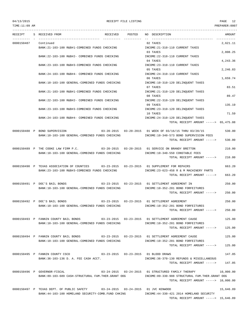## 04/13/2015 RECEIPT FILE LISTING PAGE 12 TIME:11:09 AM PREPARER:0007

--------------------------------------------------------------------------------------------------------------------------------- RECEIPT S RECEIVED FROM THE RECEIVED POSTED NO DESCRIPTION THE RECEIVED AMOUNT ---------- - ----------------------------------- ---------- ---------- -- ----------------------------------- ----------- 0000150487 Continued 02 TAXES 2,621.11 BANK:21-103-100 R&B#1-COMBINED FUNDS CHECKING INCOME:21-310-110 CURRENT TAXES 03 TAXES 2,808.25 BANK:22-103-100 R&B#2- COMBINED FUNDS CHECKING INCOME:22-310-110 CURRENT TAXES 04 TAXES 4.243.36 BANK:23-103-100 R&B#3-COMBINED FUNDS CHECKING INCOME:23-310-110 CURRENT TAXES 05 TAXES 2,246.83 BANK:24-103-100 R&B#4- COMBINED FUNDS CHECKING INCOME:24-310-110 CURRENT TAXES 06 TAXES 1,659.74 BANK:10-103-100 GENERAL-COMBINED FUNDS CHECKING INCOME:10-310-120 DELINQUENT TAXES 07 TAXES 83.51 BANK:21-103-100 R&B#1-COMBINED FUNDS CHECKING INCOME:21-310-120 DELINOUENT TAXES 08 TAXES 89.47 BANK:22-103-100 R&B#2- COMBINED FUNDS CHECKING INCOME:22-310-120 DELINQUENT TAXES 09 TAXES 135.19 BANK:23-103-100 R&B#3-COMBINED FUNDS CHECKING INCOME:23-310-120 DELINOUENT TAXES 10 TAXES 71.59 BANK:24-103-100 R&B#4- COMBINED FUNDS CHECKING INCOME:24-310-120 DELINQUENT TAXES TOTAL RECEIPT AMOUNT -----> 65,475.08 0000150488 P BOND SUPERVISION 03-20-2015 03-20-2015 01 WEEK OF 03/16/15 THRU 03/20/15 530.00 BANK:10-103-100 GENERAL-COMBINED FUNDS CHECKING INCOME:10-340-573 BOND SUPERVISION FEES  $T$ OTAL RECEIPT AMOUNT  $---$ > 530.00 0000150489 P THE COOKE LAW FIRM P.C. 03-20-2015 03-20-2015 01 SERVICE ON BRANDY BRETTON 210.00 BANK:10-103-100 GENERAL-COMBINED FUNDS CHECKING INCOME:10-340-550 CONSTABLE FEES TOTAL RECEIPT AMOUNT -----> 210.00 0000150490 P TEXAS ASSOCIATION OF COUNTIES 03-23-2015 03-23-2015 01 SUPPLEMENT FOR REPAIRS 663.20 BANK:23-103-100 R&B#3-COMBINED FUNDS CHECKING INCOME:23-623-458 R & M MACHINERY PARTS TOTAL RECEIPT AMOUNT -----> 663.20 0000150491 P DOC'S BAIL BONDS 03-23-2015 03-23-2015 01 SETTLEMENT AGREEMENT IN 250.00 BANK:10-103-100 GENERAL-COMBINED FUNDS CHECKING INCOME:10-352-201 BOND FORFEITURES TOTAL RECEIPT AMOUNT -----> 250.00 0000150492 P DOC'S BAIL BONDS 03-23-2015 03-23-2015 01 SETTLEMENT AGREEMENT 250.00 BANK:10-103-100 GENERAL-COMBINED FUNDS CHECKING INCOME:10-352-201 BOND FORFEITURES TOTAL RECEIPT AMOUNT -----> 250.00 0000150493 P FANNIN COUNTY BAIL BONDS 03-23-2015 03-23-2015 01 SETTLEMENT AGREEMENT CAUSE 125.00 BANK:10-103-100 GENERAL-COMBINED FUNDS CHECKING INCOME:10-352-201 BOND FORFEITURES TOTAL RECEIPT AMOUNT -----> 125.00 0000150494 P FANNIN COUNTY BAIL BONDS 03-23-2015 03-23-2015 01 SETTLEMENT AGREEMENT CAUSE 125.00 BANK:10-103-100 GENERAL-COMBINED FUNDS CHECKING INCOME:10-352-201 BOND FORFEITURES TOTAL RECEIPT AMOUNT -----> 125.00 0000150495 P FANNIN COUNTY CSCD 03-23-2015 03-23-2015 01 BLOOD DRAWS 147.05 BANK:36-103-136 D. A. FEE CASH ACCT. INCOME:36-370-130 REFUNDS & MISCELLANEOUS TOTAL RECEIPT AMOUNT -----> 147.05 0000150496 P GOVERNOR-FISCAL 03-24-2015 03-24-2015 01 STRUCTURED FAMILY THERAPY 10,000.00 BANK:89-103-689 CASH-STRUCTURAL FAM.THER.GRANT OOG INCOME:89-330-908 STRUCTURAL FAM.THER.GRANT OOG TOTAL RECEIPT AMOUNT -----> 10,000.00 0000150497 P TEXAS DEPT. OF PUBLIC SAFETY 03-24-2015 03-24-2015 01 JVC KENWOOD 15,646.89 BANK:44-103-100 HOMELAND SECURITY-COMB.FUND CHKING INCOME:44-330-421 2014 HOMELAND SECURITY TOTAL RECEIPT AMOUNT -----> 15,646.89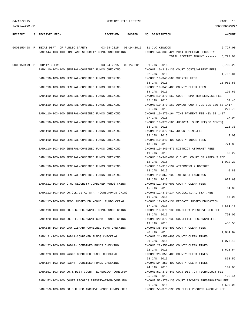| 04/13/2015 |  |
|------------|--|
|------------|--|

RECEIPT FILE LISTING **PAGE** 13

| TIME:11:09 AM |                                                                                                  |                 | PREPARER:0007                                                                                    |
|---------------|--------------------------------------------------------------------------------------------------|-----------------|--------------------------------------------------------------------------------------------------|
| RECEIPT       | S RECEIVED FROM                                                                                  | RECEIVED POSTED | NO DESCRIPTION<br>AMOUNT                                                                         |
|               | 0000150498 P TEXAS DEPT. OF PUBLIC SAFETY<br>BANK:44-103-100 HOMELAND SECURITY-COMB. FUND CHKING |                 | 03-24-2015  03-24-2015  01  JVC KENWOOD<br>6,727.00<br>INCOME: 44-330-421 2014 HOMELAND SECURITY |
|               |                                                                                                  |                 | 6,727.00<br>TOTAL RECEIPT AMOUNT ----->                                                          |
|               | 0000150499 P COUNTY CLERK                                                                        |                 | 03-24-2015  03-24-2015  01 JAN.  2015<br>5,702.20                                                |
|               | BANK:10-103-100 GENERAL-COMBINED FUNDS CHECKING                                                  |                 | INCOME:10-318-130 COURT COSTS/ARREST FEES                                                        |
|               | BANK:10-103-100 GENERAL-COMBINED FUNDS CHECKING                                                  |                 | 02 JAN. 2015<br>1,712.81<br>INCOME:10-340-560 SHERIFF FEES<br>03 JAN. 2015<br>15,952.58          |
|               | BANK:10-103-100 GENERAL-COMBINED FUNDS CHECKING                                                  |                 | INCOME:10-340-403 COUNTY CLERK FEES                                                              |
|               |                                                                                                  |                 | 195.65<br>04 JAN. 2015                                                                           |
|               | BANK:10-103-100 GENERAL-COMBINED FUNDS CHECKING                                                  |                 | INCOME:10-370-162 COURT REPORTER SERVICE FEE<br>05 JAN. 2015<br>57.43                            |
|               | BANK:10-103-100 GENERAL-COMBINED FUNDS CHECKING                                                  |                 | INCOME:10-370-163 ADM.OF COURT JUSTICE 10% SB 1417                                               |
|               | BANK:10-103-100 GENERAL-COMBINED FUNDS CHECKING                                                  |                 | 06 JAN, 2015<br>229.70<br>INCOME:10-370-164 TIME PAYMENT FEE 40% SB 1417                         |
|               | BANK:10-103-100 GENERAL-COMBINED FUNDS CHECKING                                                  |                 | 07 JAN. 2015<br>17.04<br>INCOME:10-370-166 JUDICIAL SUPP.FEE(60 CENTS)                           |
|               |                                                                                                  |                 | 08 JAN. 2015<br>115.38                                                                           |
|               | BANK:10-103-100 GENERAL-COMBINED FUNDS CHECKING                                                  |                 | INCOME:10-370-167 JUROR REIMB.FEE<br>09 JAN. 2015<br>9.00                                        |
|               | BANK:10-103-100 GENERAL-COMBINED FUNDS CHECKING                                                  |                 | INCOME:10-340-400 COUNTY JUDGE FEES                                                              |
|               |                                                                                                  |                 | 721.05<br>10 JAN. 2015                                                                           |
|               | BANK:10-103-100 GENERAL-COMBINED FUNDS CHECKING                                                  |                 | INCOME:10-340-475 DISTRICT ATTORNEY FEES<br>60.22<br>11 JAN. 2015                                |
|               | BANK:10-103-100 GENERAL-COMBINED FUNDS CHECKING                                                  |                 | INCOME:10-340-601 C.C.6TH COURT OF APPEALS FEE                                                   |
|               |                                                                                                  |                 | 12 JAN. 2015<br>1,912.27                                                                         |
|               | BANK:10-103-100 GENERAL-COMBINED FUNDS CHECKING                                                  |                 | INCOME:10-318-132 ATTORNEYS & DOCTORS<br>13 JAN. 2015<br>0.88                                    |
|               | BANK:10-103-100 GENERAL-COMBINED FUNDS CHECKING                                                  |                 | INCOME:10-360-100 INTEREST EARNINGS                                                              |
|               |                                                                                                  |                 | 622.69<br>14 JAN. 2015<br>INCOME:11-340-600 COUNTY CLERK FEES                                    |
|               | BANK:11-103-100 C.H. SECURITY-COMBINED FUNDS CKING                                               |                 | 15 JAN. 2015<br>61.00                                                                            |
|               | BANK:12-103-100 CO.CLK.VITAL STAT.-COMB.FUNDS CKING                                              |                 | INCOME:12-370-134 CO.CLK.VITAL STAT.FEE                                                          |
|               | BANK:17-103-100 PROB.JUDGES ED.-COMB. FUNDS CKING                                                |                 | 55.00<br>16 JAN. 2015<br>INCOME: 17-340-131 PROBATE JUDGES EDUCATION                             |
|               |                                                                                                  |                 | 17 JAN. 2015<br>4,551.46                                                                         |
|               | BANK: 18-103-100 CO. CLK. REC. MNGMT. - COMB. FUNDS CKING                                        |                 | INCOME:18-370-133 CO.CLERK PRESERVE REC FEE                                                      |
|               | BANK:20-103-100 CO.OFF.REC.MNGMT-COMB. FUNDS CKING                                               |                 | 793.05<br>18 JAN. 2015<br>INCOME: 20-370-135 CO.OFFICE REC.MNGMT.FEE                             |
|               |                                                                                                  |                 | 19 JAN. 2015<br>456.53                                                                           |
|               | BANK:35-103-100 LAW LIBRARY-COMBINED FUND CHECKING                                               |                 | INCOME: 35-340-403 COUNTY CLERK FEES                                                             |
|               | BANK: 21-103-100 R&B#1-COMBINED FUNDS CHECKING                                                   |                 | 20 JAN. 2015<br>1,001.62<br>INCOME: 21-350-403 COUNTY CLERK FINES                                |
|               |                                                                                                  |                 | 21 JAN. 2015<br>1,073.13                                                                         |
|               | BANK: 22-103-100 R&B#2- COMBINED FUNDS CHECKING                                                  |                 | INCOME: 22-350-403 COUNTY CLERK FINES<br>22 JAN. 2015<br>1,621.54                                |
|               | BANK: 23-103-100 R&B#3-COMBINED FUNDS CHECKING                                                   |                 | INCOME: 23-350-403 COUNTY CLERK FINES                                                            |
|               |                                                                                                  |                 | 23 JAN. 2015<br>858.59                                                                           |
|               | BANK: 24-103-100 R&B#4- COMBINED FUNDS CHECKING                                                  |                 | INCOME: 24-350-403 COUNTY CLERK FINES<br>109.08<br>24 JAN. 2015                                  |
|               | BANK: 51-103-100 CO.& DIST.COURT TECHNOLOGY-COMB.FUN                                             |                 | INCOME: 51-370-440 CO.& DIST.CT. TECHNOLOGY FEE                                                  |
|               |                                                                                                  |                 | 25 JAN. 2015<br>120.44                                                                           |
|               | BANK: 52-103-100 COURT RECORDS PRESERVATION-COMB. FUN                                            |                 | INCOME: 52-370-133 COURT RECORDS PRESERVATION FEE<br>26 JAN. 2015<br>4,620.00                    |
|               | BANK:53-103-100 CO.CLK.REC.ARCHIVE -COMB.FUNDS CKIN                                              |                 | INCOME: 53-370-133 CO.CLERK RECORDS ARCHIVE FEE                                                  |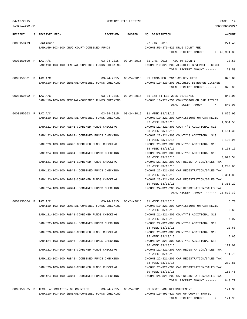| 04/13/2015<br>RECEIPT FILE LISTING | PAGE | 14 |
|------------------------------------|------|----|
|------------------------------------|------|----|

| TIME:11:09 AM        |                                                 |                                   | PREPARER: 0007                                                                                                                                        |
|----------------------|-------------------------------------------------|-----------------------------------|-------------------------------------------------------------------------------------------------------------------------------------------------------|
|                      | RECEIPT S RECEIVED FROM                         |                                   | RECEIVED POSTED NO DESCRIPTION<br>AMOUNT                                                                                                              |
| 0000150499 Continued |                                                 |                                   | 27 JAN. 2015<br>271.46                                                                                                                                |
|                      | BANK:59-103-100 DRUG COURT-COMBINED FUNDS       |                                   | INCOME: 59-370-425 DRUG COURT FEE                                                                                                                     |
|                      |                                                 |                                   | TOTAL RECEIPT AMOUNT -----> 42,901.80                                                                                                                 |
| 0000150500 P TAX A/C | BANK:10-103-100 GENERAL-COMBINED FUNDS CHECKING |                                   | 03-24-2015  03-24-2015  01 JAN, 2015- TABC-5%  COUNTY<br>23.50<br>INCOME:10-320-200 ALCOHLIC BEVERAGE LICENSE<br>23.50<br>TOTAL RECEIPT AMOUNT -----> |
| 0000150501 P TAX A/C |                                                 |                                   | 03-24-2015  03-24-2015  01 TABC-FEB. 2015-COUNTY FEES<br>825.00                                                                                       |
|                      | BANK:10-103-100 GENERAL-COMBINED FUNDS CHECKING |                                   | INCOME:10-320-200 ALCOHLIC BEVERAGE LICENSE                                                                                                           |
|                      |                                                 |                                   | 825.00<br>TOTAL RECEIPT AMOUNT ----->                                                                                                                 |
| 0000150502 P TAX A/C |                                                 |                                   | 03-24-2015 03-24-2015 01 168 TITLES WEEK 03/13/15<br>840.00                                                                                           |
|                      | BANK:10-103-100 GENERAL-COMBINED FUNDS CHECKING |                                   | INCOME:10-321-250 COMMISSION ON CAR TITLES<br>TOTAL RECEIPT AMOUNT -----><br>840.00                                                                   |
| 0000150503 P TAX A/C |                                                 |                                   | 03-24-2015  03-24-2015  01 WEEK 03/13/15                                                                                                              |
|                      | BANK:10-103-100 GENERAL-COMBINED FUNDS CHECKING |                                   | 1,876.95<br>INCOME:10-321-200 COMMISSIONS ON CAR REGIST                                                                                               |
|                      |                                                 |                                   | 02 WEEK 03/13/15<br>1,354.58                                                                                                                          |
|                      | BANK: 21-103-100 R&B#1-COMBINED FUNDS CHECKING  |                                   | INCOME: 21-321-300 COUNTY'S ADDITIONAL \$10<br>03 WEEK 03/13/15<br>1,451.30                                                                           |
|                      | BANK:22-103-100 R&B#2- COMBINED FUNDS CHECKING  |                                   | INCOME: 22-321-300 COUNTY'S ADDITIONAL \$10<br>04 WEEK 03/13/15                                                                                       |
|                      | BANK: 23-103-100 R&B#3-COMBINED FUNDS CHECKING  |                                   | 2,192.96<br>INCOME: 23-321-300 COUNTY'S ADDITIONAL \$10                                                                                               |
|                      | BANK:24-103-100 R&B#4- COMBINED FUNDS CHECKING  |                                   | 05 WEEK 03/13/15<br>1,161.16<br>INCOME: 24-321-300 COUNTY'S ADDITIONAL \$10                                                                           |
|                      |                                                 |                                   | 3,923.54<br>06 WEEK 03/13/15                                                                                                                          |
|                      | BANK: 21-103-100 R&B#1-COMBINED FUNDS CHECKING  |                                   | INCOME: 21-321-200 CAR REGISTRATION/SALES TAX<br>4,203.66<br>07 WEEK 03/13/15                                                                         |
|                      | BANK: 22-103-100 R&B#2- COMBINED FUNDS CHECKING |                                   | INCOME:22-321-200 CAR REGISTRATION/SALES TAX                                                                                                          |
|                      | BANK: 23-103-100 R&B#3-COMBINED FUNDS CHECKING  |                                   | 08 WEEK 03/13/15<br>6,351.88<br>INCOME: 23-321-200 CAR REGISTRATION/SALES TAX                                                                         |
|                      |                                                 |                                   | 09 WEEK 03/13/15<br>3,363.29                                                                                                                          |
|                      | BANK:24-103-100 R&B#4- COMBINED FUNDS CHECKING  |                                   | INCOME:24-321-200 CAR REGISTRATION/SALES TAX<br>TOTAL RECEIPT AMOUNT $---25,879.32$                                                                   |
| 0000150504 P TAX A/C |                                                 |                                   | 5.70<br>03-24-2015  03-24-2015  01 WEEK 03/13/15                                                                                                      |
|                      | BANK:10-103-100 GENERAL-COMBINED FUNDS CHECKING |                                   | INCOME:10-321-200 COMMISSIONS ON CAR REGIST                                                                                                           |
|                      |                                                 |                                   | 02 WEEK 03/13/15<br>6.60                                                                                                                              |
|                      | BANK: 21-103-100 R&B#1-COMBINED FUNDS CHECKING  |                                   | INCOME: 21-321-300 COUNTY'S ADDITIONAL \$10                                                                                                           |
|                      | BANK: 22-103-100 R&B#2- COMBINED FUNDS CHECKING |                                   | 7.07<br>03 WEEK 03/13/15<br>INCOME: 22-321-300 COUNTY'S ADDITIONAL \$10                                                                               |
|                      |                                                 |                                   | 10.68<br>04 WEEK 03/13/15                                                                                                                             |
|                      | BANK: 23-103-100 R&B#3-COMBINED FUNDS CHECKING  |                                   | INCOME: 23-321-300 COUNTY'S ADDITIONAL \$10<br>5.65<br>05 WEEK 03/13/15                                                                               |
|                      | BANK: 24-103-100 R&B#4- COMBINED FUNDS CHECKING |                                   | INCOME: 24-321-300 COUNTY'S ADDITIONAL \$10                                                                                                           |
|                      | BANK: 21-103-100 R&B#1-COMBINED FUNDS CHECKING  |                                   | 06 WEEK 03/13/15<br>179.01<br>INCOME: 21-321-200 CAR REGISTRATION/SALES TAX                                                                           |
|                      |                                                 |                                   | 191.79<br>07 WEEK 03/13/15                                                                                                                            |
|                      | BANK: 22-103-100 R&B#2- COMBINED FUNDS CHECKING |                                   | INCOME: 22-321-200 CAR REGISTRATION/SALES TAX                                                                                                         |
|                      | BANK: 23-103-100 R&B#3-COMBINED FUNDS CHECKING  |                                   | 289.81<br>08 WEEK 03/13/15<br>INCOME: 23-321-200 CAR REGISTRATION/SALES TAX                                                                           |
|                      |                                                 |                                   | 09 WEEK 03/13/15<br>153.46                                                                                                                            |
|                      | BANK: 24-103-100 R&B#4- COMBINED FUNDS CHECKING |                                   | INCOME: 24-321-200 CAR REGISTRATION/SALES TAX<br>849.77<br>TOTAL RECEIPT AMOUNT ----->                                                                |
|                      | 0000150505 P TEXAS ASSOCIATION OF COUNTIES      | $03 - 24 - 2015$ $03 - 24 - 2015$ | 01 BOOT CAMP REIMBURSEMENT<br>121.90                                                                                                                  |
|                      | BANK:10-103-100 GENERAL-COMBINED FUNDS CHECKING |                                   | INCOME:10-499-427 OUT OF COUNTY TRAVEL                                                                                                                |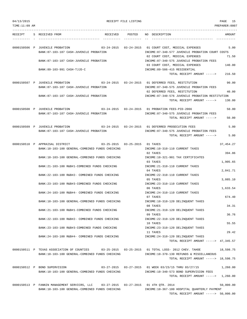| 04/13/2015 |  |
|------------|--|
|------------|--|

| 04/13/2015     |                                                                                                                                        | RECEIPT FILE LISTING |                                                                                                                                                | PAGE<br>15         |
|----------------|----------------------------------------------------------------------------------------------------------------------------------------|----------------------|------------------------------------------------------------------------------------------------------------------------------------------------|--------------------|
| TIME: 11:09 AM |                                                                                                                                        |                      |                                                                                                                                                | PREPARER:0007      |
|                | RECEIPT S RECEIVED FROM                                                                                                                |                      | RECEIVED POSTED NO DESCRIPTION                                                                                                                 | AMOUNT             |
|                | 0000150506 P JUVENILE PROBATION<br>BANK:87-103-187 CASH-JUVENILE PROBATION                                                             |                      | 03-24-2015  03-24-2015  01 COURT COST, MEDICAL EXPENSES<br>INCOME:87-340-577 JUVENILE PROBATION COURT COSTS<br>02 COURT COST, MEDICAL EXPENSES | 5.00<br>71.50      |
|                | BANK: 87-103-187 CASH-JUVENILE PROBATION                                                                                               |                      | INCOME:87-340-575 JUVENILE PROBATION FEES<br>03 COURT COST, MEDICAL EXPENSES                                                                   | 140.00             |
|                | BANK: 89-103-991 CASH-TJJD-C                                                                                                           |                      | INCOME: 89-586-415 RESIDENTIAL<br>TOTAL RECEIPT AMOUNT ----->                                                                                  | 216.50             |
|                | 0000150507 P JUVENILE PROBATION<br>BANK:87-103-187 CASH-JUVENILE PROBATION                                                             |                      | INCOME:87-340-575 JUVENILE PROBATION FEES<br>02 DEFERRED FEES, RESTITUTION                                                                     | 90.00<br>40.00     |
|                | BANK:87-103-187 CASH-JUVENILE PROBATION                                                                                                |                      | INCOME:87-340-576 JUVENILE PROBATION RESTITUTION<br>TOTAL RECEIPT AMOUNT ----->                                                                | 130.00             |
|                | 0000150508 P JUVENILE PROBATION<br>BANK:87-103-187 CASH-JUVENILE PROBATION                                                             |                      | 03-24-2015  03-24-2015  01 PROBATION FEES-PID-2066<br>INCOME:87-340-575 JUVENILE PROBATION FEES<br>TOTAL RECEIPT AMOUNT ----->                 | 50.00<br>50.00     |
|                | 0000150509 P JUVENILE PROBATION                                                                                                        |                      | 03-24-2015  03-24-2015  01 DEFERRED PROSECUTION FEES                                                                                           | 5.00               |
|                | BANK:87-103-187 CASH-JUVENILE PROBATION                                                                                                |                      | INCOME:87-340-575 JUVENILE PROBATION FEES<br>TOTAL RECEIPT AMOUNT ----->                                                                       | 5.00               |
|                | 0000150510 P APPRAISAL DISTRICT<br>$03-25-2015$ $03-25-2015$ $01$ TAXES<br>BANK:10-103-100 GENERAL-COMBINED FUNDS CHECKING             |                      | INCOME:10-310-110 CURRENT TAXES                                                                                                                | 37, 454.27         |
|                | BANK:10-103-100 GENERAL-COMBINED FUNDS CHECKING                                                                                        |                      | 02 TAXES<br>INCOME:10-321-901 TAX CERTIFICATES<br>03 TAXES                                                                                     | 394.86<br>1,905.65 |
|                | BANK:21-103-100 R&B#1-COMBINED FUNDS CHECKING                                                                                          |                      | INCOME: 21-310-110 CURRENT TAXES<br>04 TAXES                                                                                                   | 2,041.71           |
|                | BANK: 22-103-100 R&B#2- COMBINED FUNDS CHECKING<br>BANK:23-103-100 R&B#3-COMBINED FUNDS CHECKING                                       |                      | INCOME: 22-310-110 CURRENT TAXES<br>05 TAXES<br>INCOME: 23-310-110 CURRENT TAXES                                                               | 3,085.10           |
|                | BANK: 24-103-100 R&B#4- COMBINED FUNDS CHECKING                                                                                        |                      | 06 TAXES<br>INCOME: 24-310-110 CURRENT TAXES                                                                                                   | 1,633.54           |
|                | BANK:10-103-100 GENERAL-COMBINED FUNDS CHECKING                                                                                        |                      | 07 TAXES<br>INCOME:10-310-120 DELINQUENT TAXES<br>08 TAXES                                                                                     | 674.40<br>34.31    |
|                | BANK: 21-103-100 R&B#1-COMBINED FUNDS CHECKING                                                                                         |                      | INCOME: 21-310-120 DELINQUENT TAXES<br>09 TAXES                                                                                                | 36.76              |
|                | BANK:22-103-100 R&B#2- COMBINED FUNDS CHECKING<br>BANK: 23-103-100 R&B#3-COMBINED FUNDS CHECKING                                       |                      | INCOME: 22-310-120 DELINQUENT TAXES<br>10 TAXES<br>INCOME: 23-310-120 DELINOUENT TAXES                                                         | 55.55              |
|                | BANK: 24-103-100 R&B#4- COMBINED FUNDS CHECKING                                                                                        |                      | 11 TAXES<br>INCOME: 24-310-120 DELINQUENT TAXES                                                                                                | 29.42              |
|                | 0000150511 P TEXAS ASSOCIATION OF COUNTIES                                                                                             |                      | TOTAL RECEIPT AMOUNT -----> 47,345.57                                                                                                          | 18,598.75          |
|                | BANK:10-103-100 GENERAL-COMBINED FUNDS CHECKING                                                                                        |                      | INCOME:10-370-130 REFUNDS & MISCELLANEOUS<br>TOTAL RECEIPT AMOUNT -----> 18,598.75                                                             |                    |
|                | 0000150512 P BOND SUPERVISION<br>BANK:10-103-100 GENERAL-COMBINED FUNDS CHECKING                                                       |                      | 03-27-2015  03-27-2015  01 WEEK 03/23/15 THRU 03/27/15<br>INCOME:10-340-573 BOND SUPERVISION FEES                                              | 1,260.00           |
|                |                                                                                                                                        |                      | TOTAL RECEIPT AMOUNT -----> 1,260.00                                                                                                           |                    |
|                | 0000150513 P FANNIN MANAGEMENT SERVICRS, LLC 03-27-2015 03-27-2015 01 4TH QTR. 2014<br>BANK:10-103-100 GENERAL-COMBINED FUNDS CHECKING |                      | INCOME:10-367-100 HOSPITAL QUARTERLY PAYMENT<br>TOTAL RECEIPT AMOUNT $--- 50,000.00$                                                           | 50,000.00          |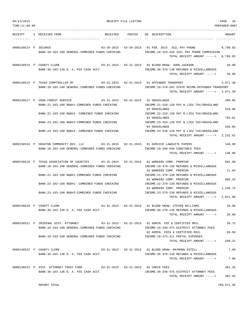| 04/13/2015                | RECEIPT FILE LISTING                                                                                                                        |                  |                                                                                                                                      |                      |
|---------------------------|---------------------------------------------------------------------------------------------------------------------------------------------|------------------|--------------------------------------------------------------------------------------------------------------------------------------|----------------------|
| TIME: 11:09 AM            |                                                                                                                                             |                  |                                                                                                                                      | PREPARER:0007        |
| RECEIPT                   | S RECEIVED FROM                                                                                                                             | RECEIVED POSTED  | NO DESCRIPTION                                                                                                                       | AMOUNT               |
| 0000150514 P SECURUS      | BANK:10-103-100 GENERAL-COMBINED FUNDS CHECKING                                                                                             |                  | 03-30-2015  03-30-2015  01 FEB. 2015  JAIL PAY PHONE<br>INCOME:10-319-420 JAIL PAY PHONE COMMISSION<br>TOTAL RECEIPT AMOUNT ----->   | 8,798.03<br>8,798.03 |
| 0000150515 P COUNTY CLERK | BANK: 36-103-136 D. A. FEE CASH ACCT.                                                                                                       |                  | 03-31-2015  03-31-2015  01 BLOOD DRAW- JOHN JACKSON<br>INCOME: 36-370-130 REFUNDS & MISCELLANEOUS<br>TOTAL RECEIPT AMOUNT ----->     | 40.00<br>40.00       |
|                           | 0000150516 P TEXAS COMPTROLLER OF $03-31-2015$ 03-31-2015 01 OFFENDER TRANSPORT<br>BANK:10-103-100 GENERAL-COMBINED FUNDS CHECKING          |                  | INCOME:10-370-562 STATE REIMB.OFFENDER TRANSPORT<br>TOTAL RECEIPT AMOUNT ----->                                                      | 2,871.30<br>2,871.30 |
|                           | 0000150517 P USDA-FOREST SERVICE<br>BANK:21-103-100 R&B#1-COMBINED FUNDS CHECKING<br>BANK: 22-103-100 R&B#2- COMBINED FUNDS CHECKING        |                  | INCOME: 21-318-120 PAY N LIEU TAX/GRASSLAND<br>02 GRASSLANDS<br>INCOME: 22-318-120 PAY N LIEU TAX/GRASSLAND                          | 490.95<br>526.00     |
|                           | BANK:23-103-100 R&B#3-COMBINED FUNDS CHECKING                                                                                               |                  | 03 GRASSLANDS<br>INCOME: 23-318-120 PAY N LIEU TAX/GRASSLAND                                                                         | 794.81<br>420.85     |
|                           | BANK: 24-103-100 R&B#4- COMBINED FUNDS CHECKING                                                                                             |                  | 04 GRASSLANDS<br>INCOME: 24-318-120 PAY N LIEU TAX/GRASSLAND<br>TOTAL RECEIPT AMOUNT ----->                                          | 2,232.61             |
|                           | 0000150518 P HOUSTON COMMUNITY DEV. LLC 03-31-2015 03-31-2015 01 SERVICE LAWSUITE PAPERS<br>BANK:10-103-100 GENERAL-COMBINED FUNDS CHECKING |                  | INCOME:10-340-550 CONSTABLE FEES<br>TOTAL RECEIPT AMOUNT ----->                                                                      | 140.00<br>140.00     |
|                           | 0000150519 P TEXAS ASSOCIATION OF COUNTIES<br>$03 - 31 - 2015$<br>BANK:10-103-100 GENERAL-COMBINED FUNDS CHECKING                           | $03 - 31 - 2015$ | 01 WORKERS COMP. PREMIUM<br>INCOME:10-370-130 REFUNDS & MISCELLANEOUS<br>02 WORKERS COMP. PREMIUM                                    | 681.00<br>71.84      |
|                           | BANK: 21-103-100 R&B#1-COMBINED FUNDS CHECKING<br>BANK: 22-103-100 R&B#2- COMBINED FUNDS CHECKING                                           |                  | INCOME: 21-370-130 REFUNDS & MISCELLANEOUS<br>03 WORKERS COMP. PREMIUM<br>INCOME: 22-370-130 REFUNDS & MISCELLANEOUS                 | 809.43               |
|                           | BANK: 23-103-100 R&B#3-COMBINED FUNDS CHECKING                                                                                              |                  | 04 WORKERS COMP. PREMIUM<br>INCOME: 23-370-130 REFUNDS & MISCELLANEOUS                                                               | 1,258.73             |
| 0000150520 P COUNTY CLERK |                                                                                                                                             |                  | TOTAL RECEIPT AMOUNT -----><br>03-31-2015   03-31-2015   01   BLOOD DRAW- STEVEN WILLIAMS                                            | 2,821.00<br>20.00    |
|                           | BANK: 36-103-136 D. A. FEE CASH ACCT.                                                                                                       |                  | INCOME: 36-370-130 REFUNDS & MISCELLANEOUS<br>TOTAL RECEIPT AMOUNT ----->                                                            | 20.00                |
|                           | 0000150521 P CRIMINAL DIST. ATTORNEY<br>BANK:10-103-100 GENERAL-COMBINED FUNDS CHECKING                                                     |                  | INCOME:10-340-475 DISTRICT ATTORNEY FEES                                                                                             | 39.72                |
|                           | BANK:10-103-100 GENERAL-COMBINED FUNDS CHECKING                                                                                             |                  | 02 ADMIN. FEES & CERTIFIED MAIL<br>INCOME:10-475-311 POSTAL EXPENSES<br>TOTAL RECEIPT AMOUNT ----->                                  | 69.50<br>109.22      |
|                           | 0000150522 P COUNTY CLERK<br>BANK:36-103-136 D. A. FEE CASH ACCT.                                                                           |                  | $03-31-2015$ $03-31-2015$ 01 BLOOD DRAW- RAYMOND ESTELL<br>INCOME: 36-370-130 REFUNDS & MISCELLANEOUS<br>TOTAL RECEIPT AMOUNT -----> | 7.00<br>7.00         |
|                           | 0000150523 P DIST. ATTORNEY TRUST FUND 03-31-2015 03-31-2015 01 CHECK FEES<br>BANK: 36-103-136 D. A. FEE CASH ACCT.                         |                  | INCOME:36-340-475 DISTRICT ATTORNEY FEES<br>TOTAL RECEIPT AMOUNT ----->                                                              | 481.45<br>481.45     |

REPORT TOTAL 789,971.58